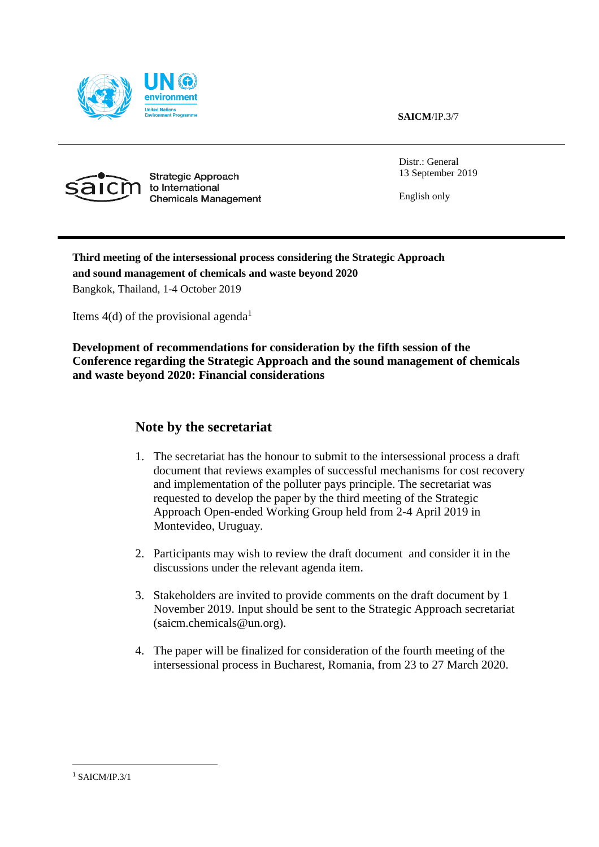

**SAICM**/IP.3/7



Strategic Approach to International **Chemicals Management**  Distr.: General 13 September 2019

English only

### **Third meeting of the intersessional process considering the Strategic Approach and sound management of chemicals and waste beyond 2020** Bangkok, Thailand, 1-4 October 2019

Items  $4(d)$  of the provisional agenda<sup>1</sup>

**Development of recommendations for consideration by the fifth session of the Conference regarding the Strategic Approach and the sound management of chemicals and waste beyond 2020: Financial considerations**

### **Note by the secretariat**

- 1. The secretariat has the honour to submit to the intersessional process a draft document that reviews examples of successful mechanisms for cost recovery and implementation of the polluter pays principle. The secretariat was requested to develop the paper by the third meeting of the Strategic Approach Open-ended Working Group held from 2-4 April 2019 in Montevideo, Uruguay.
- 2. Participants may wish to review the draft document and consider it in the discussions under the relevant agenda item.
- 3. Stakeholders are invited to provide comments on the draft document by 1 November 2019. Input should be sent to the Strategic Approach secretariat [\(saicm.chemicals@un.org\)](mailto:saicm.chemicals@unep.org).
- 4. The paper will be finalized for consideration of the fourth meeting of the intersessional process in Bucharest, Romania, from 23 to 27 March 2020.

 $\overline{a}$ 

 $1$  SAICM/IP.3/1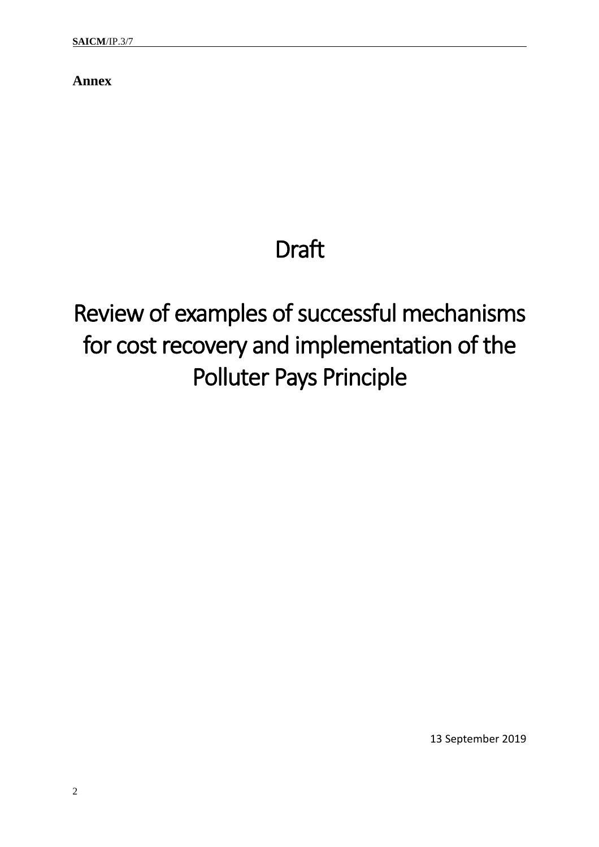**Annex**

# Draft

# Review of examples of successful mechanisms for cost recovery and implementation of the Polluter Pays Principle

13 September 2019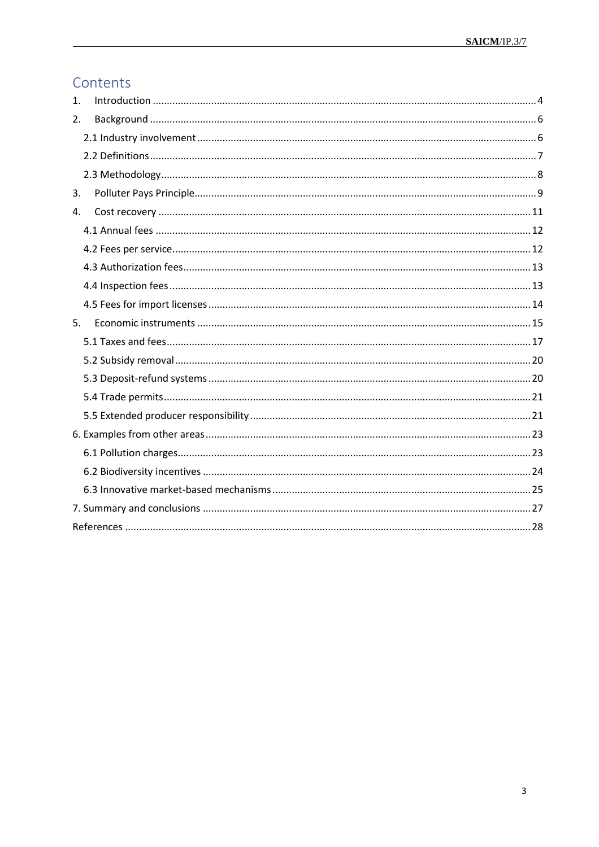# Contents

<span id="page-2-0"></span>

| 1. |  |
|----|--|
| 2. |  |
|    |  |
|    |  |
|    |  |
| 3. |  |
| 4. |  |
|    |  |
|    |  |
|    |  |
|    |  |
|    |  |
| 5. |  |
|    |  |
|    |  |
|    |  |
|    |  |
|    |  |
|    |  |
|    |  |
|    |  |
|    |  |
|    |  |
|    |  |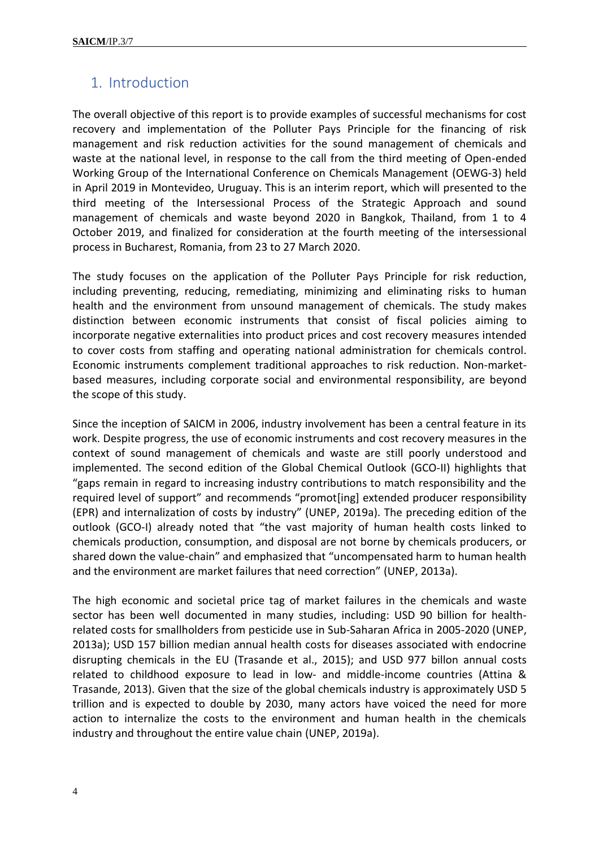## 1. Introduction

The overall objective of this report is to provide examples of successful mechanisms for cost recovery and implementation of the Polluter Pays Principle for the financing of risk management and risk reduction activities for the sound management of chemicals and waste at the national level, in response to the call from the third meeting of Open-ended Working Group of the International Conference on Chemicals Management (OEWG-3) held in April 2019 in Montevideo, Uruguay. This is an interim report, which will presented to the third meeting of the Intersessional Process of the Strategic Approach and sound management of chemicals and waste beyond 2020 in Bangkok, Thailand, from 1 to 4 October 2019, and finalized for consideration at the fourth meeting of the intersessional process in Bucharest, Romania, from 23 to 27 March 2020.

The study focuses on the application of the Polluter Pays Principle for risk reduction, including preventing, reducing, remediating, minimizing and eliminating risks to human health and the environment from unsound management of chemicals. The study makes distinction between economic instruments that consist of fiscal policies aiming to incorporate negative externalities into product prices and cost recovery measures intended to cover costs from staffing and operating national administration for chemicals control. Economic instruments complement traditional approaches to risk reduction. Non-marketbased measures, including corporate social and environmental responsibility, are beyond the scope of this study.

Since the inception of SAICM in 2006, industry involvement has been a central feature in its work. Despite progress, the use of economic instruments and cost recovery measures in the context of sound management of chemicals and waste are still poorly understood and implemented. The second edition of the Global Chemical Outlook (GCO-II) highlights that "gaps remain in regard to increasing industry contributions to match responsibility and the required level of support" and recommends "promot[ing] extended producer responsibility (EPR) and internalization of costs by industry" (UNEP, 2019a). The preceding edition of the outlook (GCO-I) already noted that "the vast majority of human health costs linked to chemicals production, consumption, and disposal are not borne by chemicals producers, or shared down the value-chain" and emphasized that "uncompensated harm to human health and the environment are market failures that need correction" (UNEP, 2013a).

The high economic and societal price tag of market failures in the chemicals and waste sector has been well documented in many studies, including: USD 90 billion for healthrelated costs for smallholders from pesticide use in Sub-Saharan Africa in 2005-2020 (UNEP, 2013a); USD 157 billion median annual health costs for diseases associated with endocrine disrupting chemicals in the EU (Trasande et al., 2015); and USD 977 billon annual costs related to childhood exposure to lead in low- and middle-income countries (Attina & Trasande, 2013). Given that the size of the global chemicals industry is approximately USD 5 trillion and is expected to double by 2030, many actors have voiced the need for more action to internalize the costs to the environment and human health in the chemicals industry and throughout the entire value chain (UNEP, 2019a).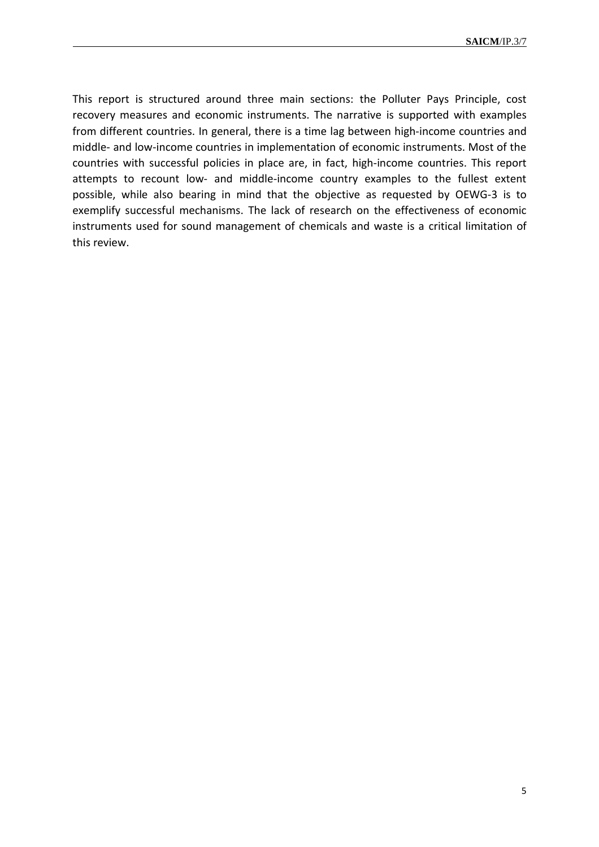This report is structured around three main sections: the Polluter Pays Principle, cost recovery measures and economic instruments. The narrative is supported with examples from different countries. In general, there is a time lag between high-income countries and middle- and low-income countries in implementation of economic instruments. Most of the countries with successful policies in place are, in fact, high-income countries. This report attempts to recount low- and middle-income country examples to the fullest extent possible, while also bearing in mind that the objective as requested by OEWG-3 is to exemplify successful mechanisms. The lack of research on the effectiveness of economic instruments used for sound management of chemicals and waste is a critical limitation of this review.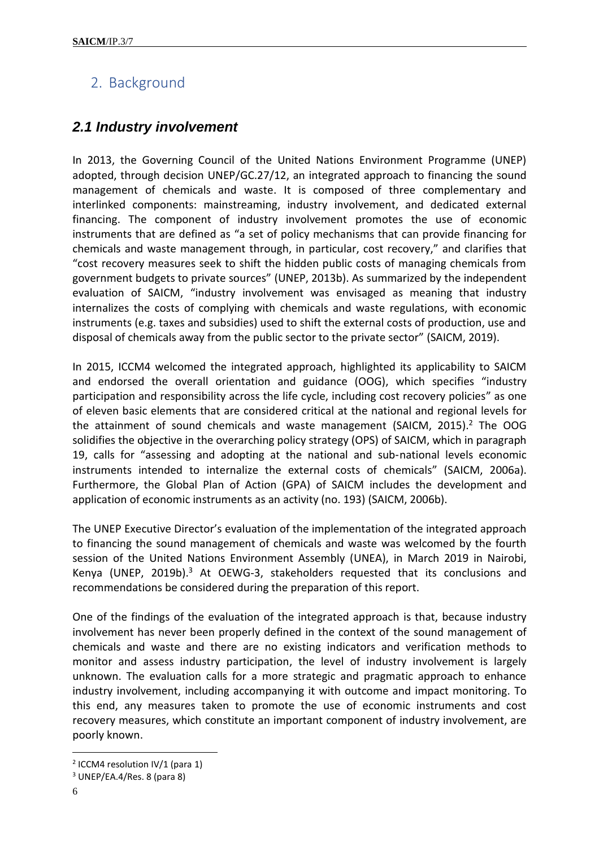# <span id="page-5-0"></span>2. Background

### <span id="page-5-1"></span>*2.1 Industry involvement*

In 2013, the Governing Council of the United Nations Environment Programme (UNEP) adopted, through decision UNEP/GC.27/12, an integrated approach to financing the sound management of chemicals and waste. It is composed of three complementary and interlinked components: mainstreaming, industry involvement, and dedicated external financing. The component of industry involvement promotes the use of economic instruments that are defined as "a set of policy mechanisms that can provide financing for chemicals and waste management through, in particular, cost recovery," and clarifies that "cost recovery measures seek to shift the hidden public costs of managing chemicals from government budgets to private sources" (UNEP, 2013b). As summarized by the independent evaluation of SAICM, "industry involvement was envisaged as meaning that industry internalizes the costs of complying with chemicals and waste regulations, with economic instruments (e.g. taxes and subsidies) used to shift the external costs of production, use and disposal of chemicals away from the public sector to the private sector" (SAICM, 2019).

In 2015, ICCM4 welcomed the integrated approach, highlighted its applicability to SAICM and endorsed the overall orientation and guidance (OOG), which specifies "industry participation and responsibility across the life cycle, including cost recovery policies" as one of eleven basic elements that are considered critical at the national and regional levels for the attainment of sound chemicals and waste management (SAICM, 2015). <sup>2</sup> The OOG solidifies the objective in the overarching policy strategy (OPS) of SAICM, which in paragraph 19, calls for "assessing and adopting at the national and sub-national levels economic instruments intended to internalize the external costs of chemicals" (SAICM, 2006a). Furthermore, the Global Plan of Action (GPA) of SAICM includes the development and application of economic instruments as an activity (no. 193) (SAICM, 2006b).

The UNEP Executive Director's evaluation of the implementation of the integrated approach to financing the sound management of chemicals and waste was welcomed by the fourth session of the United Nations Environment Assembly (UNEA), in March 2019 in Nairobi, Kenya (UNEP, 2019b).<sup>3</sup> At OEWG-3, stakeholders requested that its conclusions and recommendations be considered during the preparation of this report.

One of the findings of the evaluation of the integrated approach is that, because industry involvement has never been properly defined in the context of the sound management of chemicals and waste and there are no existing indicators and verification methods to monitor and assess industry participation, the level of industry involvement is largely unknown. The evaluation calls for a more strategic and pragmatic approach to enhance industry involvement, including accompanying it with outcome and impact monitoring. To this end, any measures taken to promote the use of economic instruments and cost recovery measures, which constitute an important component of industry involvement, are poorly known.

 $\overline{a}$ 

<sup>&</sup>lt;sup>2</sup> ICCM4 resolution IV/1 (para 1)

<sup>3</sup> UNEP/EA.4/Res. 8 (para 8)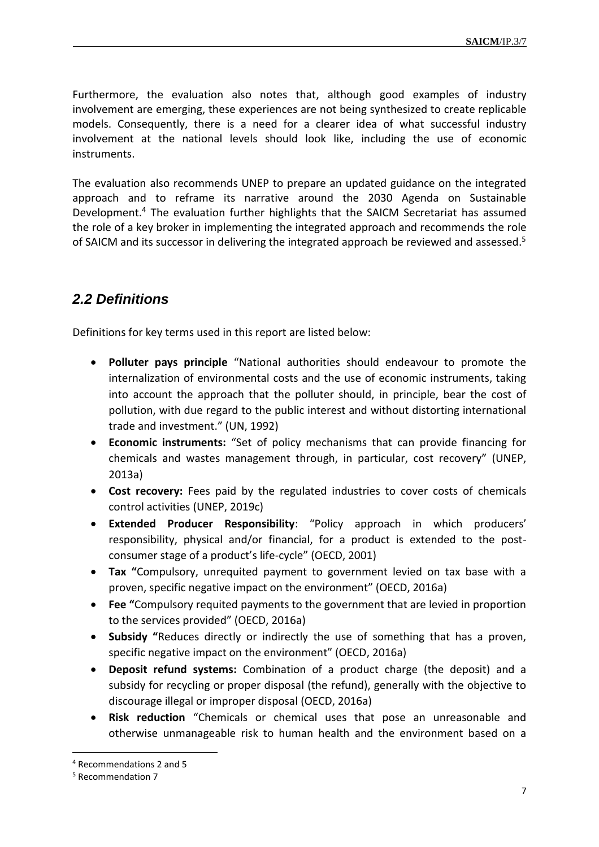Furthermore, the evaluation also notes that, although good examples of industry involvement are emerging, these experiences are not being synthesized to create replicable models. Consequently, there is a need for a clearer idea of what successful industry involvement at the national levels should look like, including the use of economic instruments.

The evaluation also recommends UNEP to prepare an updated guidance on the integrated approach and to reframe its narrative around the 2030 Agenda on Sustainable Development.<sup>4</sup> The evaluation further highlights that the SAICM Secretariat has assumed the role of a key broker in implementing the integrated approach and recommends the role of SAICM and its successor in delivering the integrated approach be reviewed and assessed. 5

### <span id="page-6-0"></span>*2.2 Definitions*

Definitions for key terms used in this report are listed below:

- **Polluter pays principle** "National authorities should endeavour to promote the internalization of environmental costs and the use of economic instruments, taking into account the approach that the polluter should, in principle, bear the cost of pollution, with due regard to the public interest and without distorting international trade and investment." (UN, 1992)
- **Economic instruments:** "Set of policy mechanisms that can provide financing for chemicals and wastes management through, in particular, cost recovery" (UNEP, 2013a)
- **Cost recovery:** Fees paid by the regulated industries to cover costs of chemicals control activities (UNEP, 2019c)
- **Extended Producer Responsibility**: "Policy approach in which producers' responsibility, physical and/or financial, for a product is extended to the postconsumer stage of a product's life-cycle" (OECD, 2001)
- **Tax "**Compulsory, unrequited payment to government levied on tax base with a proven, specific negative impact on the environment" (OECD, 2016a)
- **Fee "**Compulsory requited payments to the government that are levied in proportion to the services provided" (OECD, 2016a)
- **Subsidy "**Reduces directly or indirectly the use of something that has a proven, specific negative impact on the environment" (OECD, 2016a)
- **Deposit refund systems:** Combination of a product charge (the deposit) and a subsidy for recycling or proper disposal (the refund), generally with the objective to discourage illegal or improper disposal (OECD, 2016a)
- **Risk reduction** "Chemicals or chemical uses that pose an unreasonable and otherwise unmanageable risk to human health and the environment based on a

 $\overline{a}$ 

<sup>4</sup> Recommendations 2 and 5

<sup>5</sup> Recommendation 7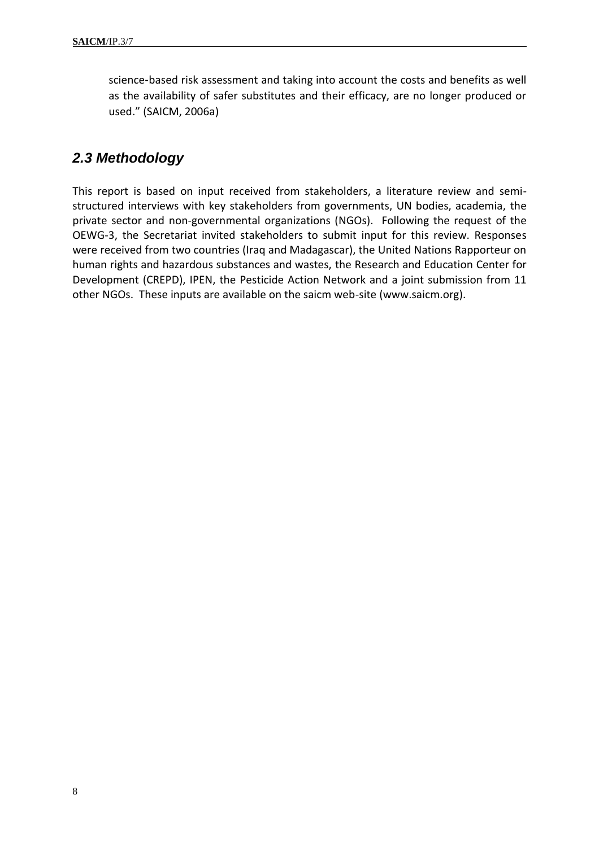science-based risk assessment and taking into account the costs and benefits as well as the availability of safer substitutes and their efficacy, are no longer produced or used." (SAICM, 2006a)

### <span id="page-7-0"></span>*2.3 Methodology*

<span id="page-7-1"></span>This report is based on input received from stakeholders, a literature review and semistructured interviews with key stakeholders from governments, UN bodies, academia, the private sector and non-governmental organizations (NGOs). Following the request of the OEWG-3, the Secretariat invited stakeholders to submit input for this review. Responses were received from two countries (Iraq and Madagascar), the United Nations Rapporteur on human rights and hazardous substances and wastes, the Research and Education Center for Development (CREPD), IPEN, the Pesticide Action Network and a joint submission from 11 other NGOs. These inputs are available on the saicm web-site (www.saicm.org).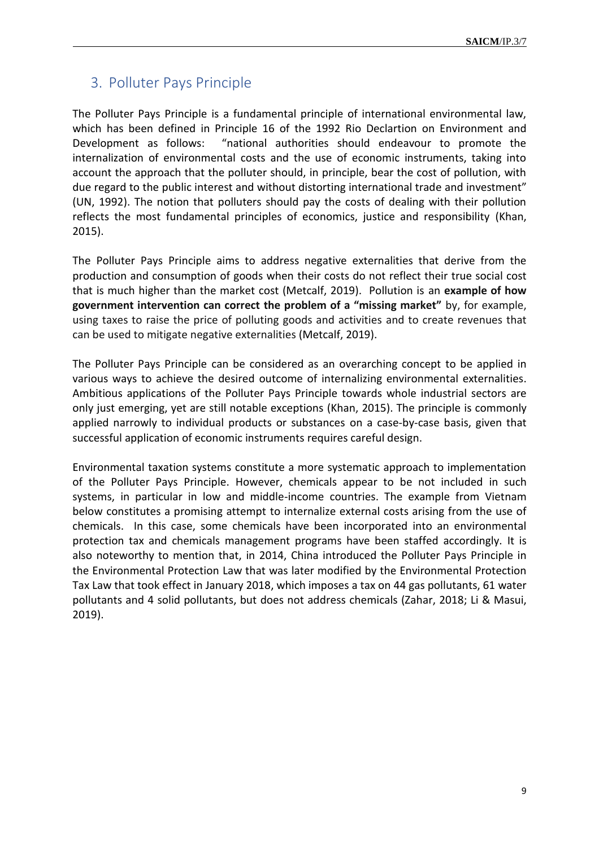# 3. Polluter Pays Principle

The Polluter Pays Principle is a fundamental principle of international environmental law, which has been defined in Principle 16 of the 1992 Rio Declartion on Environment and Development as follows: "national authorities should endeavour to promote the internalization of environmental costs and the use of economic instruments, taking into account the approach that the polluter should, in principle, bear the cost of pollution, with due regard to the public interest and without distorting international trade and investment" (UN, 1992). The notion that polluters should pay the costs of dealing with their pollution reflects the most fundamental principles of economics, justice and responsibility (Khan, 2015).

The Polluter Pays Principle aims to address negative externalities that derive from the production and consumption of goods when their costs do not reflect their true social cost that is much higher than the market cost (Metcalf, 2019). Pollution is an **example of how government intervention can correct the problem of a "missing market"** by, for example, using taxes to raise the price of polluting goods and activities and to create revenues that can be used to mitigate negative externalities (Metcalf, 2019).

The Polluter Pays Principle can be considered as an overarching concept to be applied in various ways to achieve the desired outcome of internalizing environmental externalities. Ambitious applications of the Polluter Pays Principle towards whole industrial sectors are only just emerging, yet are still notable exceptions (Khan, 2015). The principle is commonly applied narrowly to individual products or substances on a case-by-case basis, given that successful application of economic instruments requires careful design.

Environmental taxation systems constitute a more systematic approach to implementation of the Polluter Pays Principle. However, chemicals appear to be not included in such systems, in particular in low and middle-income countries. The example from Vietnam below constitutes a promising attempt to internalize external costs arising from the use of chemicals. In this case, some chemicals have been incorporated into an environmental protection tax and chemicals management programs have been staffed accordingly. It is also noteworthy to mention that, in 2014, China introduced the Polluter Pays Principle in the Environmental Protection Law that was later modified by the Environmental Protection Tax Law that took effect in January 2018, which imposes a tax on 44 gas pollutants, 61 water pollutants and 4 solid pollutants, but does not address chemicals (Zahar, 2018; Li & Masui, 2019).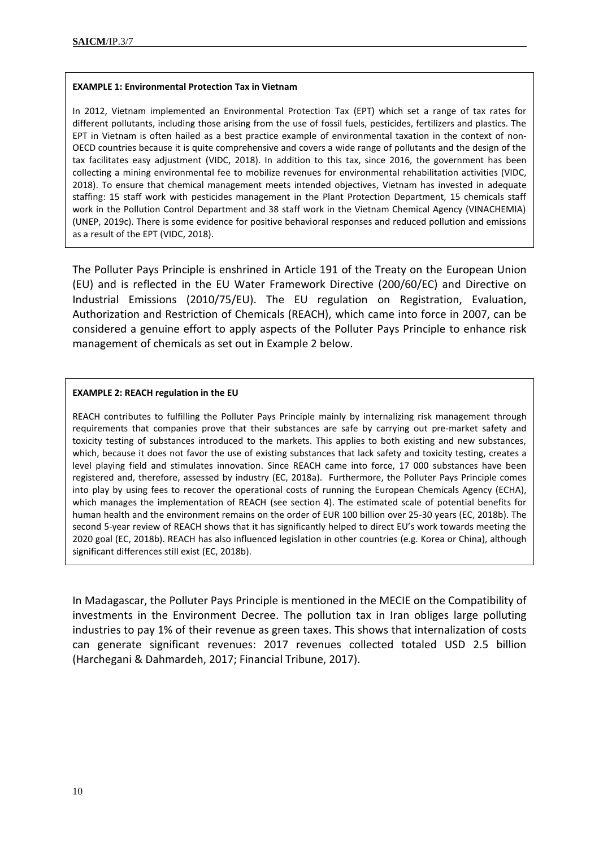#### **EXAMPLE 1: Environmental Protection Tax in Vietnam**

In 2012, Vietnam implemented an Environmental Protection Tax (EPT) which set a range of tax rates for different pollutants, including those arising from the use of fossil fuels, pesticides, fertilizers and plastics. The EPT in Vietnam is often hailed as a best practice example of environmental taxation in the context of non-OECD countries because it is quite comprehensive and covers a wide range of pollutants and the design of the tax facilitates easy adjustment (VIDC, 2018). In addition to this tax, since 2016, the government has been collecting a mining environmental fee to mobilize revenues for environmental rehabilitation activities (VIDC, 2018). To ensure that chemical management meets intended objectives, Vietnam has invested in adequate staffing: 15 staff work with pesticides management in the Plant Protection Department, 15 chemicals staff work in the Pollution Control Department and 38 staff work in the Vietnam Chemical Agency (VINACHEMIA) (UNEP, 2019c). There is some evidence for positive behavioral responses and reduced pollution and emissions as a result of the EPT (VIDC, 2018).

The Polluter Pays Principle is enshrined in Article 191 of the Treaty on the European Union (EU) and is reflected in the EU Water Framework Directive (200/60/EC) and Directive on Industrial Emissions (2010/75/EU). The EU regulation on Registration, Evaluation, Authorization and Restriction of Chemicals (REACH), which came into force in 2007, can be considered a genuine effort to apply aspects of the Polluter Pays Principle to enhance risk management of chemicals as set out in Example 2 below.

#### **EXAMPLE 2: REACH regulation in the EU**

REACH contributes to fulfilling the Polluter Pays Principle mainly by internalizing risk management through requirements that companies prove that their substances are safe by carrying out pre-market safety and toxicity testing of substances introduced to the markets. This applies to both existing and new substances, which, because it does not favor the use of existing substances that lack safety and toxicity testing, creates a level playing field and stimulates innovation. Since REACH came into force, 17 000 substances have been registered and, therefore, assessed by industry (EC, 2018a). Furthermore, the Polluter Pays Principle comes into play by using fees to recover the operational costs of running the European Chemicals Agency (ECHA), which manages the implementation of REACH (see section 4). The estimated scale of potential benefits for human health and the environment remains on the order of EUR 100 billion over 25-30 years (EC, 2018b). The second 5-year review of REACH shows that it has significantly helped to direct EU's work towards meeting the 2020 goal (EC, 2018b). REACH has also influenced legislation in other countries (e.g. Korea or China), although significant differences still exist (EC, 2018b).

<span id="page-9-0"></span>In Madagascar, the Polluter Pays Principle is mentioned in the MECIE on the Compatibility of investments in the Environment Decree. The pollution tax in Iran obliges large polluting industries to pay 1% of their revenue as green taxes. This shows that internalization of costs can generate significant revenues: 2017 revenues collected totaled USD 2.5 billion (Harchegani & Dahmardeh, 2017; Financial Tribune, 2017).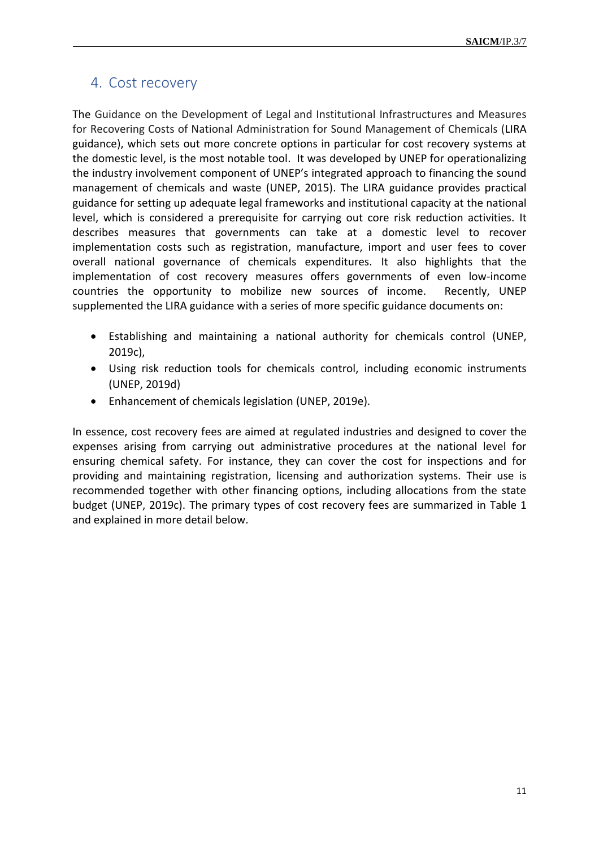### 4. Cost recovery

The Guidance on the Development of Legal and Institutional Infrastructures and Measures for Recovering Costs of National Administration for Sound Management of Chemicals (LIRA guidance), which sets out more concrete options in particular for cost recovery systems at the domestic level, is the most notable tool. It was developed by UNEP for operationalizing the industry involvement component of UNEP's integrated approach to financing the sound management of chemicals and waste (UNEP, 2015). The LIRA guidance provides practical guidance for setting up adequate legal frameworks and institutional capacity at the national level, which is considered a prerequisite for carrying out core risk reduction activities. It describes measures that governments can take at a domestic level to recover implementation costs such as registration, manufacture, import and user fees to cover overall national governance of chemicals expenditures. It also highlights that the implementation of cost recovery measures offers governments of even low-income countries the opportunity to mobilize new sources of income. Recently, UNEP supplemented the LIRA guidance with a series of more specific guidance documents on:

- Establishing and maintaining a national authority for chemicals control (UNEP, 2019c),
- Using risk reduction tools for chemicals control, including economic instruments (UNEP, 2019d)
- Enhancement of chemicals legislation (UNEP, 2019e).

In essence, cost recovery fees are aimed at regulated industries and designed to cover the expenses arising from carrying out administrative procedures at the national level for ensuring chemical safety. For instance, they can cover the cost for inspections and for providing and maintaining registration, licensing and authorization systems. Their use is recommended together with other financing options, including allocations from the state budget (UNEP, 2019c). The primary types of cost recovery fees are summarized in Table 1 and explained in more detail below.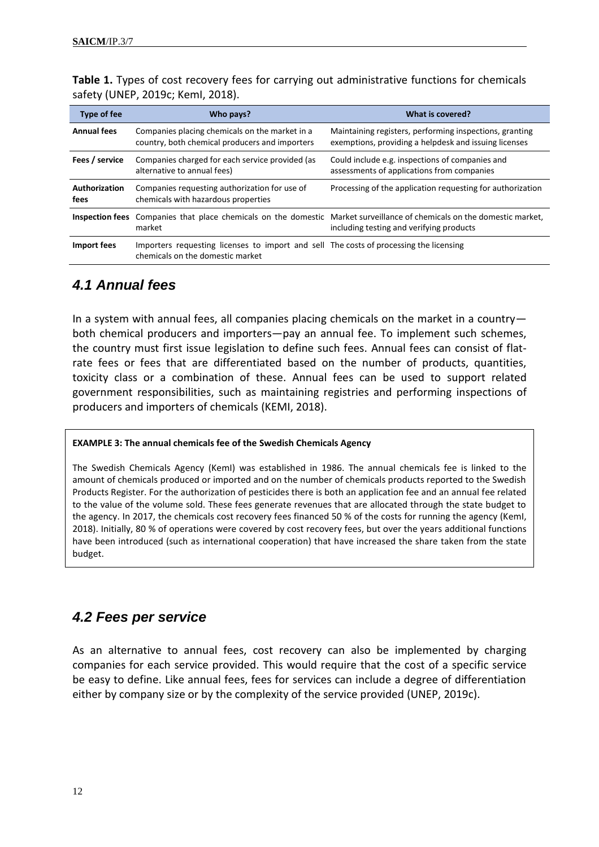| <b>Type of fee</b>    | Who pays?                                                                                                                  | What is covered?                                                                                                                                                    |
|-----------------------|----------------------------------------------------------------------------------------------------------------------------|---------------------------------------------------------------------------------------------------------------------------------------------------------------------|
| <b>Annual fees</b>    | Companies placing chemicals on the market in a<br>country, both chemical producers and importers                           | Maintaining registers, performing inspections, granting<br>exemptions, providing a helpdesk and issuing licenses                                                    |
| Fees / service        | Companies charged for each service provided (as<br>alternative to annual fees)                                             | Could include e.g. inspections of companies and<br>assessments of applications from companies                                                                       |
| Authorization<br>fees | Companies requesting authorization for use of<br>chemicals with hazardous properties                                       | Processing of the application requesting for authorization                                                                                                          |
|                       | market                                                                                                                     | Inspection fees Companies that place chemicals on the domestic Market surveillance of chemicals on the domestic market,<br>including testing and verifying products |
| Import fees           | Importers requesting licenses to import and sell The costs of processing the licensing<br>chemicals on the domestic market |                                                                                                                                                                     |

**Table 1.** Types of cost recovery fees for carrying out administrative functions for chemicals safety (UNEP, 2019c; KemI, 2018).

# <span id="page-11-0"></span>*4.1 Annual fees*

In a system with annual fees, all companies placing chemicals on the market in a country both chemical producers and importers—pay an annual fee. To implement such schemes, the country must first issue legislation to define such fees. Annual fees can consist of flatrate fees or fees that are differentiated based on the number of products, quantities, toxicity class or a combination of these. Annual fees can be used to support related government responsibilities, such as maintaining registries and performing inspections of producers and importers of chemicals (KEMI, 2018).

#### **EXAMPLE 3: The annual chemicals fee of the Swedish Chemicals Agency**

The Swedish Chemicals Agency (KemI) was established in 1986. The annual chemicals fee is linked to the amount of chemicals produced or imported and on the number of chemicals products reported to the Swedish Products Register. For the authorization of pesticides there is both an application fee and an annual fee related to the value of the volume sold. These fees generate revenues that are allocated through the state budget to the agency. In 2017, the chemicals cost recovery fees financed 50 % of the costs for running the agency (KemI, 2018). Initially, 80 % of operations were covered by cost recovery fees, but over the years additional functions have been introduced (such as international cooperation) that have increased the share taken from the state budget.

### <span id="page-11-1"></span>*4.2 Fees per service*

As an alternative to annual fees, cost recovery can also be implemented by charging companies for each service provided. This would require that the cost of a specific service be easy to define. Like annual fees, fees for services can include a degree of differentiation either by company size or by the complexity of the service provided (UNEP, 2019c).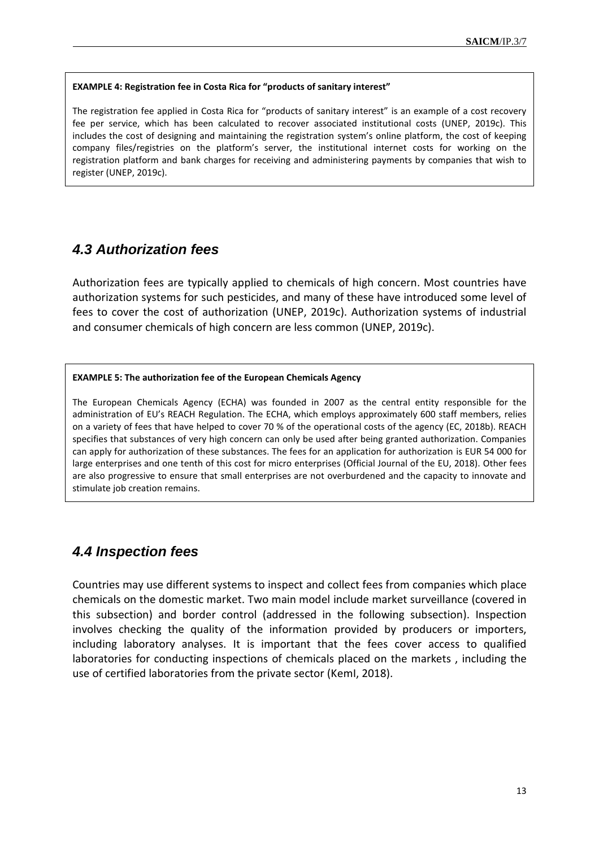#### **EXAMPLE 4: Registration fee in Costa Rica for "products of sanitary interest"**

The registration fee applied in Costa Rica for "products of sanitary interest" is an example of a cost recovery fee per service, which has been calculated to recover associated institutional costs (UNEP, 2019c). This includes the cost of designing and maintaining the registration system's online platform, the cost of keeping company files/registries on the platform's server, the institutional internet costs for working on the registration platform and bank charges for receiving and administering payments by companies that wish to register (UNEP, 2019c).

### <span id="page-12-0"></span>*4.3 Authorization fees*

Authorization fees are typically applied to chemicals of high concern. Most countries have authorization systems for such pesticides, and many of these have introduced some level of fees to cover the cost of authorization (UNEP, 2019c). Authorization systems of industrial and consumer chemicals of high concern are less common (UNEP, 2019c).

#### **EXAMPLE 5: The authorization fee of the European Chemicals Agency**

The European Chemicals Agency (ECHA) was founded in 2007 as the central entity responsible for the administration of EU's REACH Regulation. The ECHA, which employs approximately 600 staff members, relies on a variety of fees that have helped to cover 70 % of the operational costs of the agency (EC, 2018b). REACH specifies that substances of very high concern can only be used after being granted authorization. Companies can apply for authorization of these substances. The fees for an application for authorization is EUR 54 000 for large enterprises and one tenth of this cost for micro enterprises (Official Journal of the EU, 2018). Other fees are also progressive to ensure that small enterprises are not overburdened and the capacity to innovate and stimulate job creation remains.

### <span id="page-12-1"></span>*4.4 Inspection fees*

Countries may use different systems to inspect and collect fees from companies which place chemicals on the domestic market. Two main model include market surveillance (covered in this subsection) and border control (addressed in the following subsection). Inspection involves checking the quality of the information provided by producers or importers, including laboratory analyses. It is important that the fees cover access to qualified laboratories for conducting inspections of chemicals placed on the markets , including the use of certified laboratories from the private sector (KemI, 2018).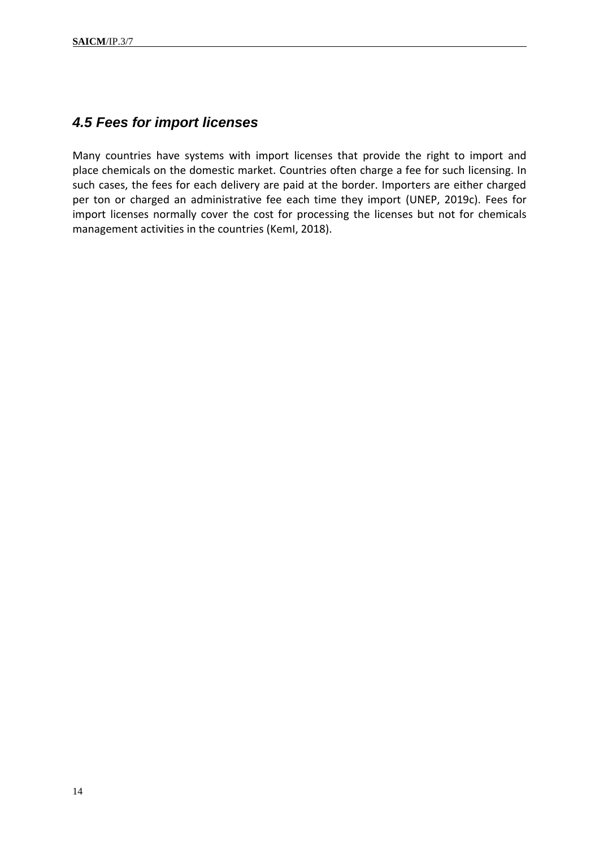### <span id="page-13-0"></span>*4.5 Fees for import licenses*

<span id="page-13-1"></span>Many countries have systems with import licenses that provide the right to import and place chemicals on the domestic market. Countries often charge a fee for such licensing. In such cases, the fees for each delivery are paid at the border. Importers are either charged per ton or charged an administrative fee each time they import (UNEP, 2019c). Fees for import licenses normally cover the cost for processing the licenses but not for chemicals management activities in the countries (KemI, 2018).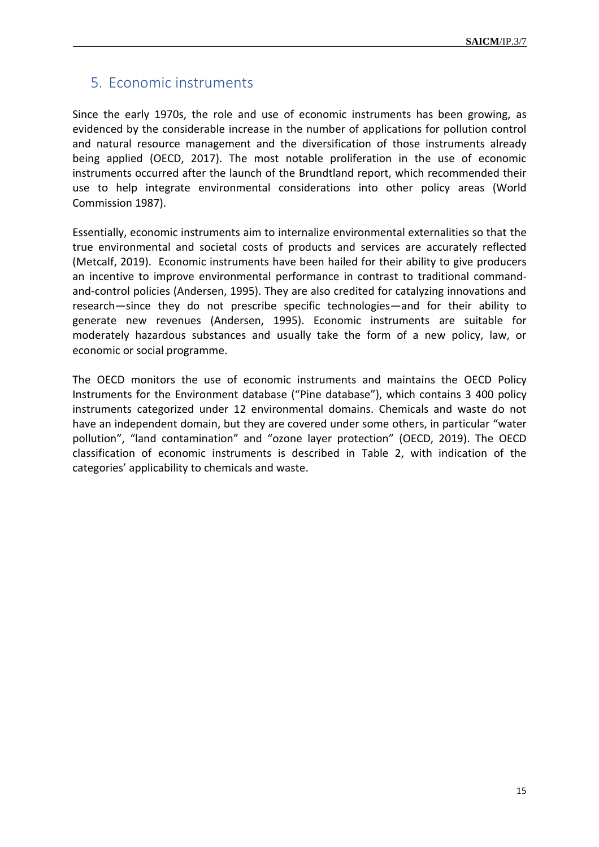### 5. Economic instruments

Since the early 1970s, the role and use of economic instruments has been growing, as evidenced by the considerable increase in the number of applications for pollution control and natural resource management and the diversification of those instruments already being applied (OECD, 2017). The most notable proliferation in the use of economic instruments occurred after the launch of the Brundtland report, which recommended their use to help integrate environmental considerations into other policy areas (World Commission 1987).

Essentially, economic instruments aim to internalize environmental externalities so that the true environmental and societal costs of products and services are accurately reflected (Metcalf, 2019). Economic instruments have been hailed for their ability to give producers an incentive to improve environmental performance in contrast to traditional commandand-control policies (Andersen, 1995). They are also credited for catalyzing innovations and research—since they do not prescribe specific technologies—and for their ability to generate new revenues (Andersen, 1995). Economic instruments are suitable for moderately hazardous substances and usually take the form of a new policy, law, or economic or social programme.

The OECD monitors the use of economic instruments and maintains the OECD Policy Instruments for the Environment database ("Pine database"), which contains 3 400 policy instruments categorized under 12 environmental domains. Chemicals and waste do not have an independent domain, but they are covered under some others, in particular "water pollution", "land contamination" and "ozone layer protection" (OECD, 2019). The OECD classification of economic instruments is described in Table 2, with indication of the categories' applicability to chemicals and waste.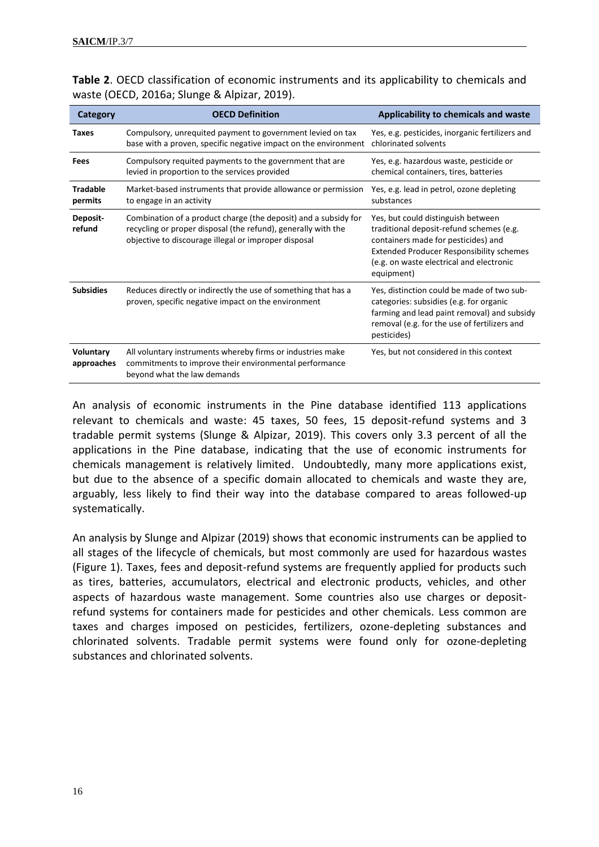| Category                       | <b>OECD Definition</b>                                                                                                                                                                   | Applicability to chemicals and waste                                                                                                                                                                                               |
|--------------------------------|------------------------------------------------------------------------------------------------------------------------------------------------------------------------------------------|------------------------------------------------------------------------------------------------------------------------------------------------------------------------------------------------------------------------------------|
| <b>Taxes</b>                   | Compulsory, unrequited payment to government levied on tax<br>base with a proven, specific negative impact on the environment                                                            | Yes, e.g. pesticides, inorganic fertilizers and<br>chlorinated solvents                                                                                                                                                            |
| Fees                           | Compulsory requited payments to the government that are<br>levied in proportion to the services provided                                                                                 | Yes, e.g. hazardous waste, pesticide or<br>chemical containers, tires, batteries                                                                                                                                                   |
| <b>Tradable</b><br>permits     | Market-based instruments that provide allowance or permission<br>to engage in an activity                                                                                                | Yes, e.g. lead in petrol, ozone depleting<br>substances                                                                                                                                                                            |
| Deposit-<br>refund             | Combination of a product charge (the deposit) and a subsidy for<br>recycling or proper disposal (the refund), generally with the<br>objective to discourage illegal or improper disposal | Yes, but could distinguish between<br>traditional deposit-refund schemes (e.g.<br>containers made for pesticides) and<br><b>Extended Producer Responsibility schemes</b><br>(e.g. on waste electrical and electronic<br>equipment) |
| <b>Subsidies</b>               | Reduces directly or indirectly the use of something that has a<br>proven, specific negative impact on the environment                                                                    | Yes, distinction could be made of two sub-<br>categories: subsidies (e.g. for organic<br>farming and lead paint removal) and subsidy<br>removal (e.g. for the use of fertilizers and<br>pesticides)                                |
| <b>Voluntary</b><br>approaches | All voluntary instruments whereby firms or industries make<br>commitments to improve their environmental performance<br>beyond what the law demands                                      | Yes, but not considered in this context                                                                                                                                                                                            |

|  | <b>Table 2.</b> OECD classification of economic instruments and its applicability to chemicals and |  |  |  |  |
|--|----------------------------------------------------------------------------------------------------|--|--|--|--|
|  | waste (OECD, 2016a; Slunge & Alpizar, 2019).                                                       |  |  |  |  |

An analysis of economic instruments in the Pine database identified 113 applications relevant to chemicals and waste: 45 taxes, 50 fees, 15 deposit-refund systems and 3 tradable permit systems (Slunge & Alpizar, 2019). This covers only 3.3 percent of all the applications in the Pine database, indicating that the use of economic instruments for chemicals management is relatively limited. Undoubtedly, many more applications exist, but due to the absence of a specific domain allocated to chemicals and waste they are, arguably, less likely to find their way into the database compared to areas followed-up systematically.

An analysis by Slunge and Alpizar (2019) shows that economic instruments can be applied to all stages of the lifecycle of chemicals, but most commonly are used for hazardous wastes (Figure 1). Taxes, fees and deposit-refund systems are frequently applied for products such as tires, batteries, accumulators, electrical and electronic products, vehicles, and other aspects of hazardous waste management. Some countries also use charges or depositrefund systems for containers made for pesticides and other chemicals. Less common are taxes and charges imposed on pesticides, fertilizers, ozone-depleting substances and chlorinated solvents. Tradable permit systems were found only for ozone-depleting substances and chlorinated solvents.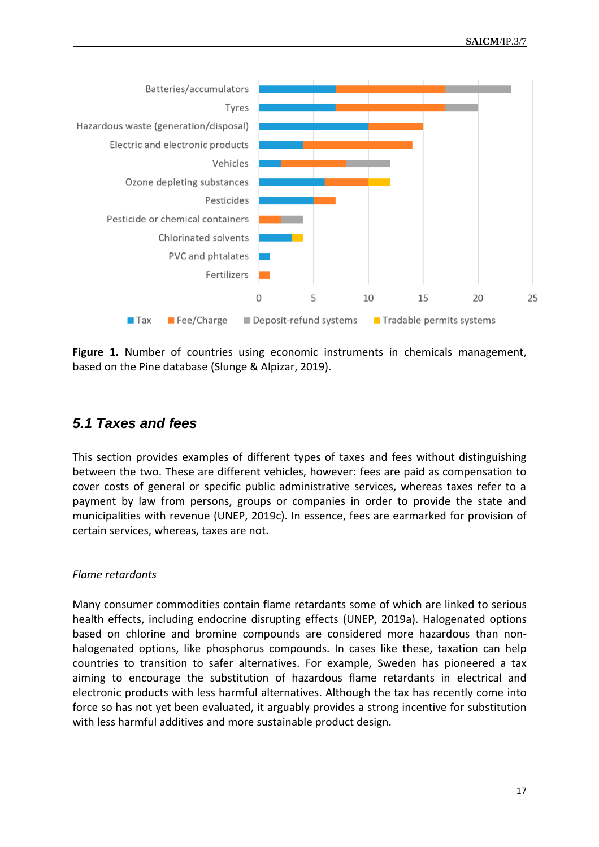

**Figure 1.** Number of countries using economic instruments in chemicals management, based on the Pine database (Slunge & Alpizar, 2019).

## <span id="page-16-0"></span>*5.1 Taxes and fees*

This section provides examples of different types of taxes and fees without distinguishing between the two. These are different vehicles, however: fees are paid as compensation to cover costs of general or specific public administrative services, whereas taxes refer to a payment by law from persons, groups or companies in order to provide the state and municipalities with revenue (UNEP, 2019c). In essence, fees are earmarked for provision of certain services, whereas, taxes are not.

### *Flame retardants*

Many consumer commodities contain flame retardants some of which are linked to serious health effects, including endocrine disrupting effects (UNEP, 2019a). Halogenated options based on chlorine and bromine compounds are considered more hazardous than nonhalogenated options, like phosphorus compounds. In cases like these, taxation can help countries to transition to safer alternatives. For example, Sweden has pioneered a tax aiming to encourage the substitution of hazardous flame retardants in electrical and electronic products with less harmful alternatives. Although the tax has recently come into force so has not yet been evaluated, it arguably provides a strong incentive for substitution with less harmful additives and more sustainable product design.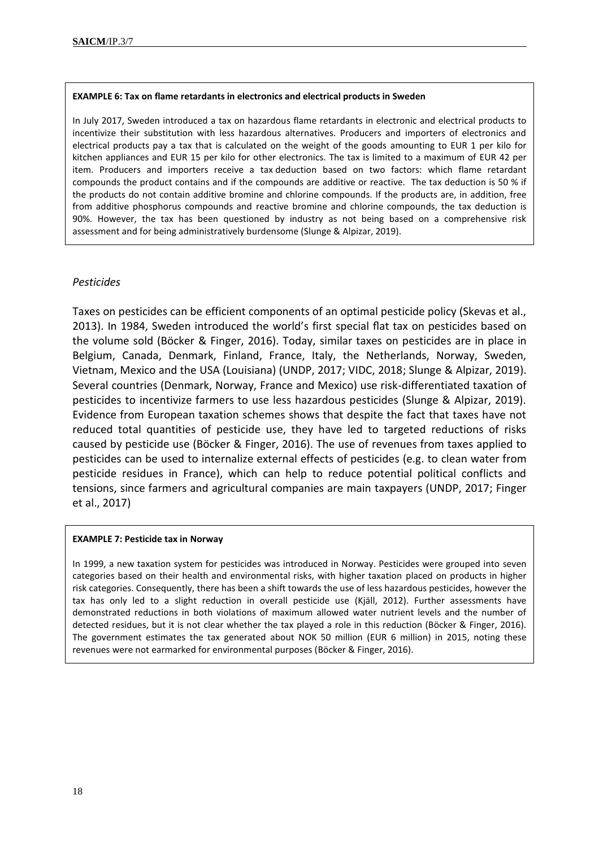#### **EXAMPLE 6: Tax on flame retardants in electronics and electrical products in Sweden**

In July 2017, Sweden introduced a tax on hazardous flame retardants in electronic and electrical products to incentivize their substitution with less hazardous alternatives. Producers and importers of electronics and electrical products pay a tax that is calculated on the weight of the goods amounting to EUR 1 per kilo for kitchen appliances and EUR 15 per kilo for other electronics. The tax is limited to a maximum of EUR 42 per item. Producers and importers receive a tax deduction based on two factors: which flame retardant compounds the product contains and if the compounds are additive or reactive. The tax deduction is 50 % if the products do not contain additive bromine and chlorine compounds. If the products are, in addition, free from additive phosphorus compounds and reactive bromine and chlorine compounds, the tax deduction is 90%. However, the tax has been questioned by industry as not being based on a comprehensive risk assessment and for being administratively burdensome (Slunge & Alpizar, 2019).

#### *Pesticides*

Taxes on pesticides can be efficient components of an optimal pesticide policy (Skevas et al., 2013). In 1984, Sweden introduced the world's first special flat tax on pesticides based on the volume sold (Böcker & Finger, 2016). Today, similar taxes on pesticides are in place in Belgium, Canada, Denmark, Finland, France, Italy, the Netherlands, Norway, Sweden, Vietnam, Mexico and the USA (Louisiana) (UNDP, 2017; VIDC, 2018; Slunge & Alpizar, 2019). Several countries (Denmark, Norway, France and Mexico) use risk-differentiated taxation of pesticides to incentivize farmers to use less hazardous pesticides (Slunge & Alpizar, 2019). Evidence from European taxation schemes shows that despite the fact that taxes have not reduced total quantities of pesticide use, they have led to targeted reductions of risks caused by pesticide use (Böcker & Finger, 2016). The use of revenues from taxes applied to pesticides can be used to internalize external effects of pesticides (e.g. to clean water from pesticide residues in France), which can help to reduce potential political conflicts and tensions, since farmers and agricultural companies are main taxpayers (UNDP, 2017; Finger et al., 2017)

#### **EXAMPLE 7: Pesticide tax in Norway**

In 1999, a new taxation system for pesticides was introduced in Norway. Pesticides were grouped into seven categories based on their health and environmental risks, with higher taxation placed on products in higher risk categories. Consequently, there has been a shift towards the use of less hazardous pesticides, however the tax has only led to a slight reduction in overall pesticide use (Kjäll, 2012). Further assessments have demonstrated reductions in both violations of maximum allowed water nutrient levels and the number of detected residues, but it is not clear whether the tax played a role in this reduction (Böcker & Finger, 2016). The government estimates the tax generated about NOK 50 million (EUR 6 million) in 2015, noting these revenues were not earmarked for environmental purposes (Böcker & Finger, 2016).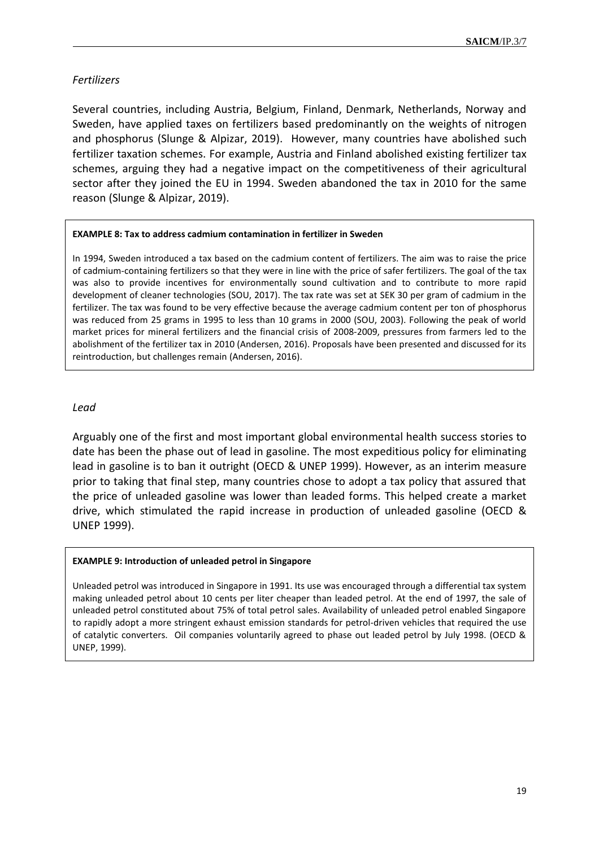### *Fertilizers*

Several countries, including Austria, Belgium, Finland, Denmark, Netherlands, Norway and Sweden, have applied taxes on fertilizers based predominantly on the weights of nitrogen and phosphorus (Slunge & Alpizar, 2019). However, many countries have abolished such fertilizer taxation schemes. For example, Austria and Finland abolished existing fertilizer tax schemes, arguing they had a negative impact on the competitiveness of their agricultural sector after they joined the EU in 1994. Sweden abandoned the tax in 2010 for the same reason (Slunge & Alpizar, 2019).

#### **EXAMPLE 8: Tax to address cadmium contamination in fertilizer in Sweden**

In 1994, Sweden introduced a tax based on the cadmium content of fertilizers. The aim was to raise the price of cadmium-containing fertilizers so that they were in line with the price of safer fertilizers. The goal of the tax was also to provide incentives for environmentally sound cultivation and to contribute to more rapid development of cleaner technologies (SOU, 2017). The tax rate was set at SEK 30 per gram of cadmium in the fertilizer. The tax was found to be very effective because the average cadmium content per ton of phosphorus was reduced from 25 grams in 1995 to less than 10 grams in 2000 (SOU, 2003). Following the peak of world market prices for mineral fertilizers and the financial crisis of 2008-2009, pressures from farmers led to the abolishment of the fertilizer tax in 2010 (Andersen, 2016). Proposals have been presented and discussed for its reintroduction, but challenges remain (Andersen, 2016).

#### *Lead*

Arguably one of the first and most important global environmental health success stories to date has been the phase out of lead in gasoline. The most expeditious policy for eliminating lead in gasoline is to ban it outright (OECD & UNEP 1999). However, as an interim measure prior to taking that final step, many countries chose to adopt a tax policy that assured that the price of unleaded gasoline was lower than leaded forms. This helped create a market drive, which stimulated the rapid increase in production of unleaded gasoline (OECD & UNEP 1999).

#### **EXAMPLE 9: Introduction of unleaded petrol in Singapore**

Unleaded petrol was introduced in Singapore in 1991. Its use was encouraged through a differential tax system making unleaded petrol about 10 cents per liter cheaper than leaded petrol. At the end of 1997, the sale of unleaded petrol constituted about 75% of total petrol sales. Availability of unleaded petrol enabled Singapore to rapidly adopt a more stringent exhaust emission standards for petrol-driven vehicles that required the use of catalytic converters. Oil companies voluntarily agreed to phase out leaded petrol by July 1998. (OECD & UNEP, 1999).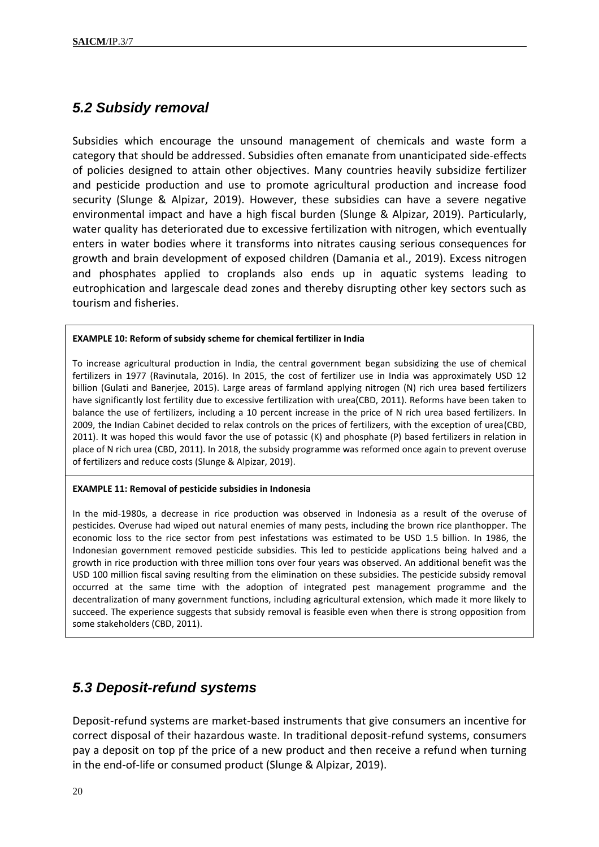## <span id="page-19-0"></span>*5.2 Subsidy removal*

Subsidies which encourage the unsound management of chemicals and waste form a category that should be addressed. Subsidies often emanate from unanticipated side-effects of policies designed to attain other objectives. Many countries heavily subsidize fertilizer and pesticide production and use to promote agricultural production and increase food security (Slunge & Alpizar, 2019). However, these subsidies can have a severe negative environmental impact and have a high fiscal burden (Slunge & Alpizar, 2019). Particularly, water quality has deteriorated due to excessive fertilization with nitrogen, which eventually enters in water bodies where it transforms into nitrates causing serious consequences for growth and brain development of exposed children (Damania et al., 2019). Excess nitrogen and phosphates applied to croplands also ends up in aquatic systems leading to eutrophication and largescale dead zones and thereby disrupting other key sectors such as tourism and fisheries.

#### **EXAMPLE 10: Reform of subsidy scheme for chemical fertilizer in India**

To increase agricultural production in India, the central government began subsidizing the use of chemical fertilizers in 1977 (Ravinutala, 2016). In 2015, the cost of fertilizer use in India was approximately USD 12 billion (Gulati and Banerjee, 2015). Large areas of farmland applying nitrogen (N) rich urea based fertilizers have significantly lost fertility due to excessive fertilization with urea(CBD, 2011). Reforms have been taken to balance the use of fertilizers, including a 10 percent increase in the price of N rich urea based fertilizers. In 2009, the Indian Cabinet decided to relax controls on the prices of fertilizers, with the exception of urea(CBD, 2011). It was hoped this would favor the use of potassic (K) and phosphate (P) based fertilizers in relation in place of N rich urea (CBD, 2011). In 2018, the subsidy programme was reformed once again to prevent overuse of fertilizers and reduce costs (Slunge & Alpizar, 2019).

#### **EXAMPLE 11: Removal of pesticide subsidies in Indonesia**

In the mid-1980s, a decrease in rice production was observed in Indonesia as a result of the overuse of pesticides. Overuse had wiped out natural enemies of many pests, including the brown rice planthopper. The economic loss to the rice sector from pest infestations was estimated to be USD 1.5 billion. In 1986, the Indonesian government removed pesticide subsidies. This led to pesticide applications being halved and a growth in rice production with three million tons over four years was observed. An additional benefit was the USD 100 million fiscal saving resulting from the elimination on these subsidies. The pesticide subsidy removal occurred at the same time with the adoption of integrated pest management programme and the decentralization of many government functions, including agricultural extension, which made it more likely to succeed. The experience suggests that subsidy removal is feasible even when there is strong opposition from some stakeholders (CBD, 2011).

# <span id="page-19-1"></span>*5.3 Deposit-refund systems*

Deposit-refund systems are market-based instruments that give consumers an incentive for correct disposal of their hazardous waste. In traditional deposit-refund systems, consumers pay a deposit on top pf the price of a new product and then receive a refund when turning in the end-of-life or consumed product (Slunge & Alpizar, 2019).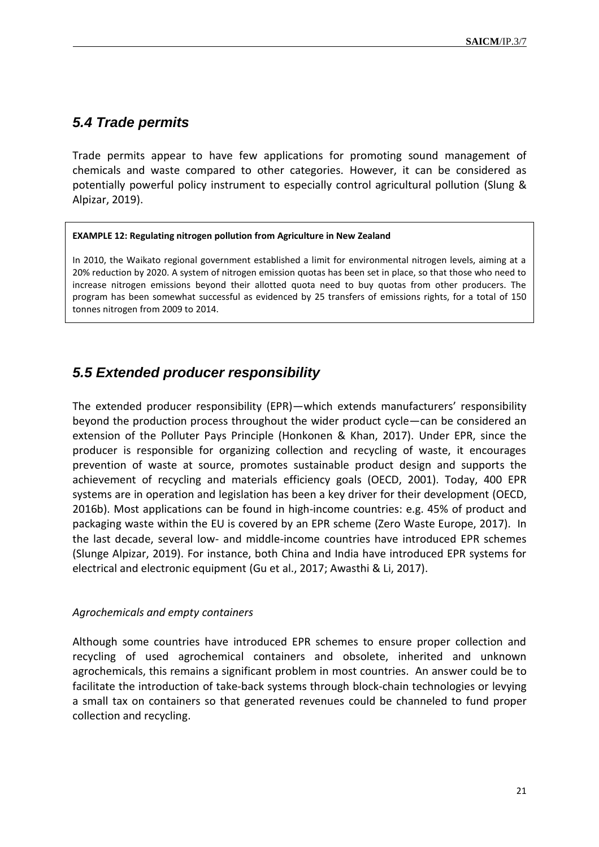### <span id="page-20-0"></span>*5.4 Trade permits*

Trade permits appear to have few applications for promoting sound management of chemicals and waste compared to other categories. However, it can be considered as potentially powerful policy instrument to especially control agricultural pollution (Slung & Alpizar, 2019).

#### **EXAMPLE 12: Regulating nitrogen pollution from Agriculture in New Zealand**

In 2010, the Waikato regional government established a limit for environmental nitrogen levels, aiming at a 20% reduction by 2020. A system of nitrogen emission quotas has been set in place, so that those who need to increase nitrogen emissions beyond their allotted quota need to buy quotas from other producers. The program has been somewhat successful as evidenced by 25 transfers of emissions rights, for a total of 150 tonnes nitrogen from 2009 to 2014.

### <span id="page-20-1"></span>*5.5 Extended producer responsibility*

The extended producer responsibility (EPR)—which extends manufacturers' responsibility beyond the production process throughout the wider product cycle—can be considered an extension of the Polluter Pays Principle (Honkonen & Khan, 2017). Under EPR, since the producer is responsible for organizing collection and recycling of waste, it encourages prevention of waste at source, promotes sustainable product design and supports the achievement of recycling and materials efficiency goals (OECD, 2001). Today, 400 EPR systems are in operation and legislation has been a key driver for their development (OECD, 2016b). Most applications can be found in high-income countries: e.g. 45% of product and packaging waste within the EU is covered by an EPR scheme (Zero Waste Europe, 2017). In the last decade, several low- and middle-income countries have introduced EPR schemes (Slunge Alpizar, 2019). For instance, both China and India have introduced EPR systems for electrical and electronic equipment (Gu et al., 2017; Awasthi & Li, 2017).

#### *Agrochemicals and empty containers*

Although some countries have introduced EPR schemes to ensure proper collection and recycling of used agrochemical containers and obsolete, inherited and unknown agrochemicals, this remains a significant problem in most countries. An answer could be to facilitate the introduction of take-back systems through block-chain technologies or levying a small tax on containers so that generated revenues could be channeled to fund proper collection and recycling.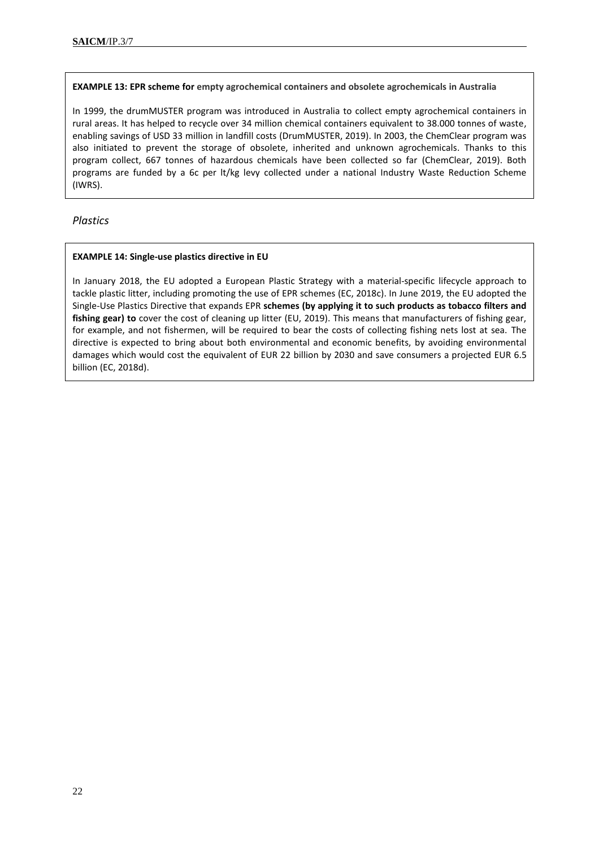**EXAMPLE 13: EPR scheme for empty agrochemical containers and obsolete agrochemicals in Australia**

In 1999, the drumMUSTER program was introduced in Australia to collect empty agrochemical containers in rural areas. It has helped to recycle over 34 million chemical containers equivalent to 38.000 tonnes of waste, enabling savings of USD 33 million in landfill costs (DrumMUSTER, 2019). In 2003, the ChemClear program was also initiated to prevent the storage of obsolete, inherited and unknown agrochemicals. Thanks to this program collect, 667 tonnes of hazardous chemicals have been collected so far (ChemClear, 2019). Both programs are funded by a 6c per lt/kg levy collected under a national Industry Waste Reduction Scheme (IWRS).

#### *Plastics*

#### **EXAMPLE 14: Single-use plastics directive in EU**

In January 2018, the EU adopted a European Plastic Strategy with a material-specific lifecycle approach to tackle plastic litter, including promoting the use of EPR schemes (EC, 2018c). In June 2019, the EU adopted the Single-Use Plastics Directive that expands EPR **schemes (by applying it to such products as tobacco filters and fishing gear) to** cover the cost of cleaning up litter (EU, 2019). This means that manufacturers of fishing gear, for example, and not fishermen, will be required to bear the costs of collecting fishing nets lost at sea. The directive is expected to bring about both environmental and economic benefits, by avoiding environmental damages which would cost the equivalent of EUR 22 billion by 2030 and save consumers a projected EUR 6.5 billion (EC, 2018d).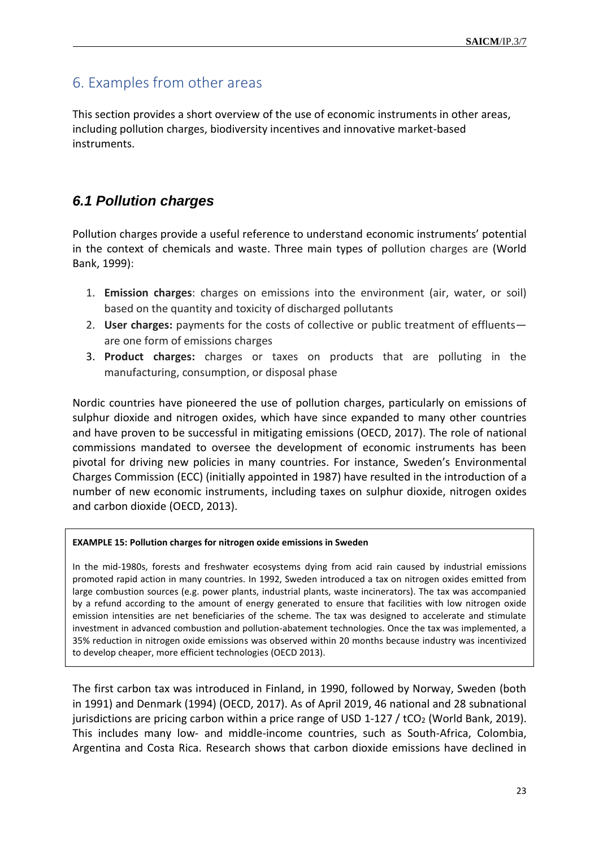# <span id="page-22-0"></span>6. Examples from other areas

This section provides a short overview of the use of economic instruments in other areas, including pollution charges, biodiversity incentives and innovative market-based instruments.

# <span id="page-22-1"></span>*6.1 Pollution charges*

Pollution charges provide a useful reference to understand economic instruments' potential in the context of chemicals and waste. Three main types of pollution charges are (World Bank, 1999):

- 1. **Emission charges**: charges on emissions into the environment (air, water, or soil) based on the quantity and toxicity of discharged pollutants
- 2. **User charges:** payments for the costs of collective or public treatment of effluents are one form of emissions charges
- 3. **Product charges:** charges or taxes on products that are polluting in the manufacturing, consumption, or disposal phase

Nordic countries have pioneered the use of pollution charges, particularly on emissions of sulphur dioxide and nitrogen oxides, which have since expanded to many other countries and have proven to be successful in mitigating emissions (OECD, 2017). The role of national commissions mandated to oversee the development of economic instruments has been pivotal for driving new policies in many countries. For instance, Sweden's Environmental Charges Commission (ECC) (initially appointed in 1987) have resulted in the introduction of a number of new economic instruments, including taxes on sulphur dioxide, nitrogen oxides and carbon dioxide (OECD, 2013).

#### **EXAMPLE 15: Pollution charges for nitrogen oxide emissions in Sweden**

In the mid-1980s, forests and freshwater ecosystems dying from acid rain caused by industrial emissions promoted rapid action in many countries. In 1992, Sweden introduced a tax on nitrogen oxides emitted from large combustion sources (e.g. power plants, industrial plants, waste incinerators). The tax was accompanied by a refund according to the amount of energy generated to ensure that facilities with low nitrogen oxide emission intensities are net beneficiaries of the scheme. The tax was designed to accelerate and stimulate investment in advanced combustion and pollution-abatement technologies. Once the tax was implemented, a 35% reduction in nitrogen oxide emissions was observed within 20 months because industry was incentivized to develop cheaper, more efficient technologies (OECD 2013).

The first carbon tax was introduced in Finland, in 1990, followed by Norway, Sweden (both in 1991) and Denmark (1994) (OECD, 2017). As of April 2019, 46 national and 28 subnational jurisdictions are pricing carbon within a price range of USD 1-127 / tCO<sub>2</sub> (World Bank, 2019). This includes many low- and middle-income countries, such as South-Africa, Colombia, Argentina and Costa Rica. Research shows that carbon dioxide emissions have declined in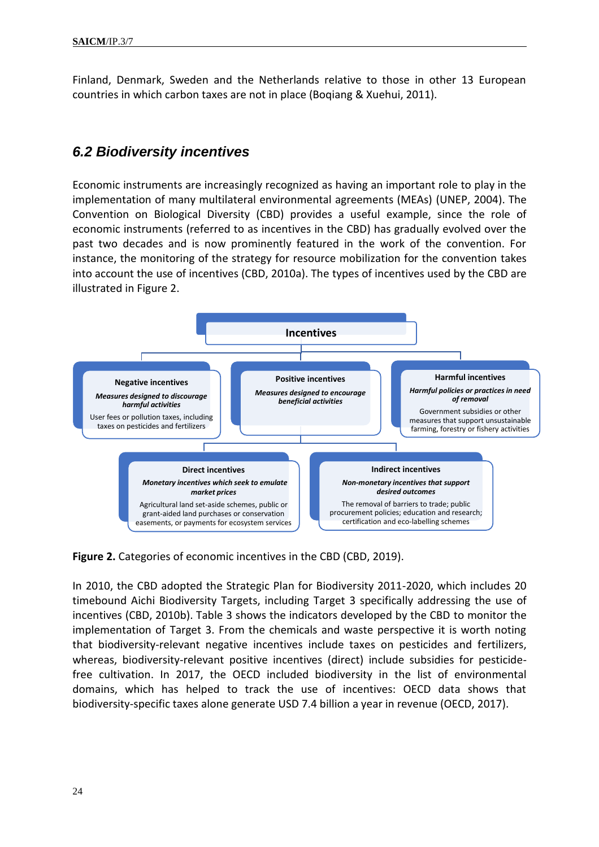Finland, Denmark, Sweden and the Netherlands relative to those in other 13 European countries in which carbon taxes are not in place (Boqiang & Xuehui, 2011).

### <span id="page-23-0"></span>*6.2 Biodiversity incentives*

Economic instruments are increasingly recognized as having an important role to play in the implementation of many multilateral environmental agreements (MEAs) (UNEP, 2004). The Convention on Biological Diversity (CBD) provides a useful example, since the role of economic instruments (referred to as incentives in the CBD) has gradually evolved over the past two decades and is now prominently featured in the work of the convention. For instance, the monitoring of the strategy for resource mobilization for the convention takes into account the use of incentives (CBD, 2010a). The types of incentives used by the CBD are illustrated in Figure 2.



**Figure 2.** Categories of economic incentives in the CBD (CBD, 2019).

In 2010, the CBD adopted the Strategic Plan for Biodiversity 2011-2020, which includes 20 timebound Aichi Biodiversity Targets, including Target 3 specifically addressing the use of incentives (CBD, 2010b). Table 3 shows the indicators developed by the CBD to monitor the implementation of Target 3. From the chemicals and waste perspective it is worth noting that biodiversity-relevant negative incentives include taxes on pesticides and fertilizers, whereas, biodiversity-relevant positive incentives (direct) include subsidies for pesticidefree cultivation. In 2017, the OECD included biodiversity in the list of environmental domains, which has helped to track the use of incentives: OECD data shows that biodiversity-specific taxes alone generate USD 7.4 billion a year in revenue (OECD, 2017).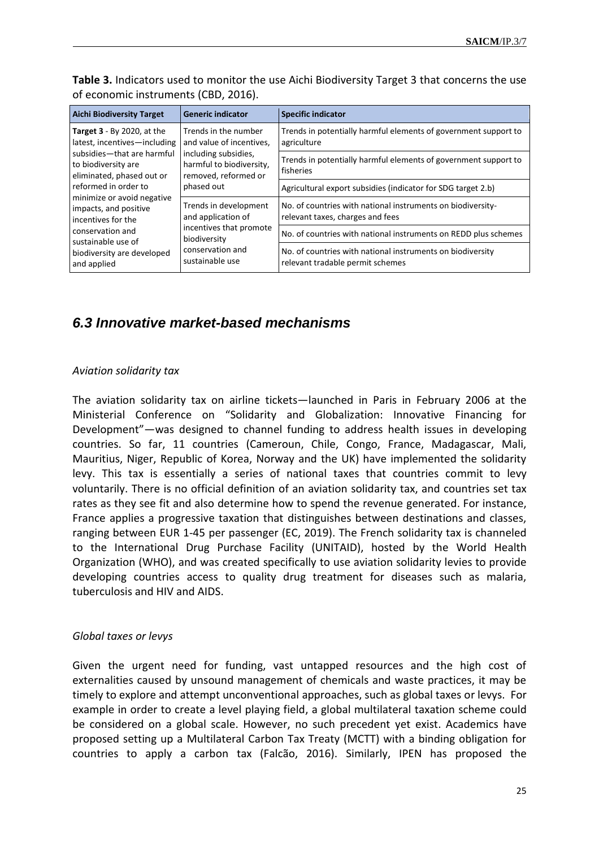| Table 3. Indicators used to monitor the use Aichi Biodiversity Target 3 that concerns the use |
|-----------------------------------------------------------------------------------------------|
| of economic instruments (CBD, 2016).                                                          |

| <b>Aichi Biodiversity Target</b>                                               | <b>Generic indicator</b>                                                                                                                   | <b>Specific indicator</b>                                                                       |
|--------------------------------------------------------------------------------|--------------------------------------------------------------------------------------------------------------------------------------------|-------------------------------------------------------------------------------------------------|
| <b>Target 3</b> - By 2020, at the<br>latest, incentives-including              | Trends in the number<br>and value of incentives,<br>including subsidies,<br>harmful to biodiversity,<br>removed, reformed or<br>phased out | Trends in potentially harmful elements of government support to<br>agriculture                  |
| subsidies-that are harmful<br>to biodiversity are<br>eliminated, phased out or |                                                                                                                                            | Trends in potentially harmful elements of government support to<br>fisheries                    |
| reformed in order to                                                           |                                                                                                                                            | Agricultural export subsidies (indicator for SDG target 2.b)                                    |
| minimize or avoid negative<br>impacts, and positive<br>incentives for the      | Trends in development<br>and application of<br>incentives that promote<br>biodiversity<br>conservation and<br>sustainable use              | No. of countries with national instruments on biodiversity-<br>relevant taxes, charges and fees |
| conservation and<br>sustainable use of                                         |                                                                                                                                            | No. of countries with national instruments on REDD plus schemes                                 |
| biodiversity are developed<br>and applied                                      |                                                                                                                                            | No. of countries with national instruments on biodiversity<br>relevant tradable permit schemes  |

### <span id="page-24-0"></span>*6.3 Innovative market-based mechanisms*

#### *Aviation solidarity tax*

The aviation solidarity tax on airline tickets—launched in Paris in February 2006 at the Ministerial Conference on "Solidarity and Globalization: Innovative Financing for Development"—was designed to channel funding to address health issues in developing countries. So far, 11 countries (Cameroun, Chile, Congo, France, Madagascar, Mali, Mauritius, Niger, Republic of Korea, Norway and the UK) have implemented the solidarity levy. This tax is essentially a series of national taxes that countries commit to levy voluntarily. There is no official definition of an aviation solidarity tax, and countries set tax rates as they see fit and also determine how to spend the revenue generated. For instance, France applies a progressive taxation that distinguishes between destinations and classes, ranging between EUR 1-45 per passenger (EC, 2019). The French solidarity tax is channeled to the International Drug Purchase Facility (UNITAID), hosted by the World Health Organization (WHO), and was created specifically to use aviation solidarity levies to provide developing countries access to quality drug treatment for diseases such as malaria, tuberculosis and HIV and AIDS.

#### *Global taxes or levys*

Given the urgent need for funding, vast untapped resources and the high cost of externalities caused by unsound management of chemicals and waste practices, it may be timely to explore and attempt unconventional approaches, such as global taxes or levys. For example in order to create a level playing field, a global multilateral taxation scheme could be considered on a global scale. However, no such precedent yet exist. Academics have proposed setting up a Multilateral Carbon Tax Treaty (MCTT) with a binding obligation for countries to apply a carbon tax (Falcão, 2016). Similarly, IPEN has proposed the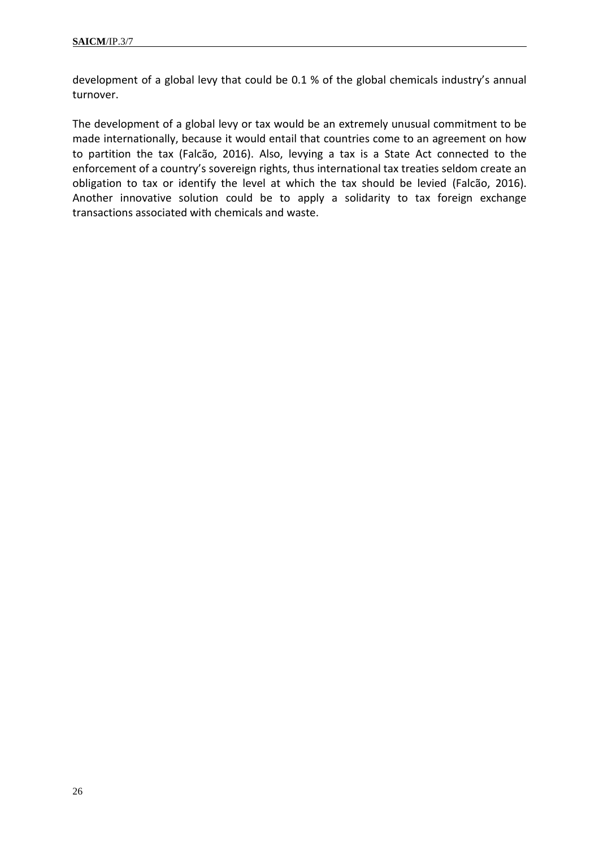development of a global levy that could be 0.1 % of the global chemicals industry's annual turnover.

The development of a global levy or tax would be an extremely unusual commitment to be made internationally, because it would entail that countries come to an agreement on how to partition the tax (Falcão, 2016). Also, levying a tax is a State Act connected to the enforcement of a country's sovereign rights, thus international tax treaties seldom create an obligation to tax or identify the level at which the tax should be levied (Falcão, 2016). Another innovative solution could be to apply a solidarity to tax foreign exchange transactions associated with chemicals and waste.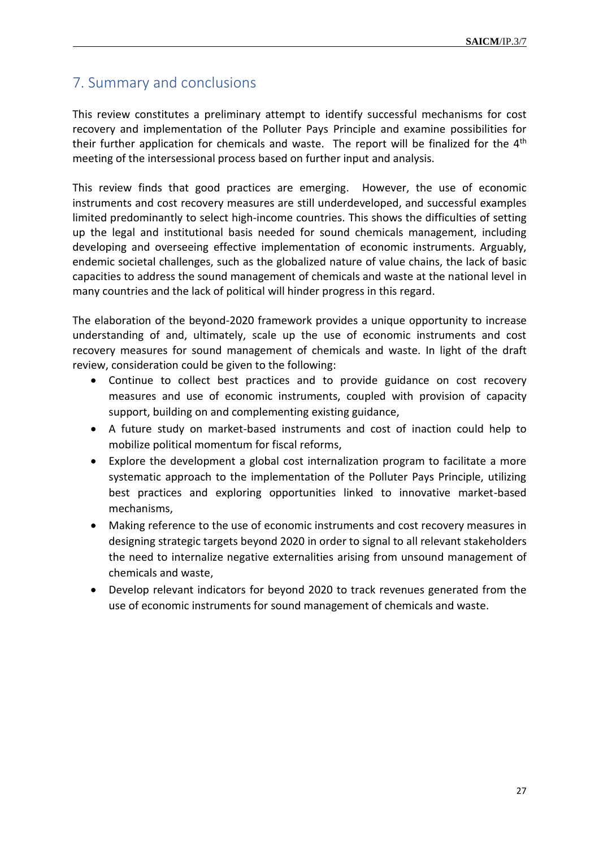# <span id="page-26-1"></span><span id="page-26-0"></span>7. Summary and conclusions

This review constitutes a preliminary attempt to identify successful mechanisms for cost recovery and implementation of the Polluter Pays Principle and examine possibilities for their further application for chemicals and waste. The report will be finalized for the  $4<sup>th</sup>$ meeting of the intersessional process based on further input and analysis.

This review finds that good practices are emerging. However, the use of economic instruments and cost recovery measures are still underdeveloped, and successful examples limited predominantly to select high-income countries. This shows the difficulties of setting up the legal and institutional basis needed for sound chemicals management, including developing and overseeing effective implementation of economic instruments. Arguably, endemic societal challenges, such as the globalized nature of value chains, the lack of basic capacities to address the sound management of chemicals and waste at the national level in many countries and the lack of political will hinder progress in this regard.

The elaboration of the beyond-2020 framework provides a unique opportunity to increase understanding of and, ultimately, scale up the use of economic instruments and cost recovery measures for sound management of chemicals and waste. In light of the draft review, consideration could be given to the following:

- Continue to collect best practices and to provide guidance on cost recovery measures and use of economic instruments, coupled with provision of capacity support, building on and complementing existing guidance,
- A future study on market-based instruments and cost of inaction could help to mobilize political momentum for fiscal reforms,
- Explore the development a global cost internalization program to facilitate a more systematic approach to the implementation of the Polluter Pays Principle, utilizing best practices and exploring opportunities linked to innovative market-based mechanisms,
- Making reference to the use of economic instruments and cost recovery measures in designing strategic targets beyond 2020 in order to signal to all relevant stakeholders the need to internalize negative externalities arising from unsound management of chemicals and waste,
- Develop relevant indicators for beyond 2020 to track revenues generated from the use of economic instruments for sound management of chemicals and waste.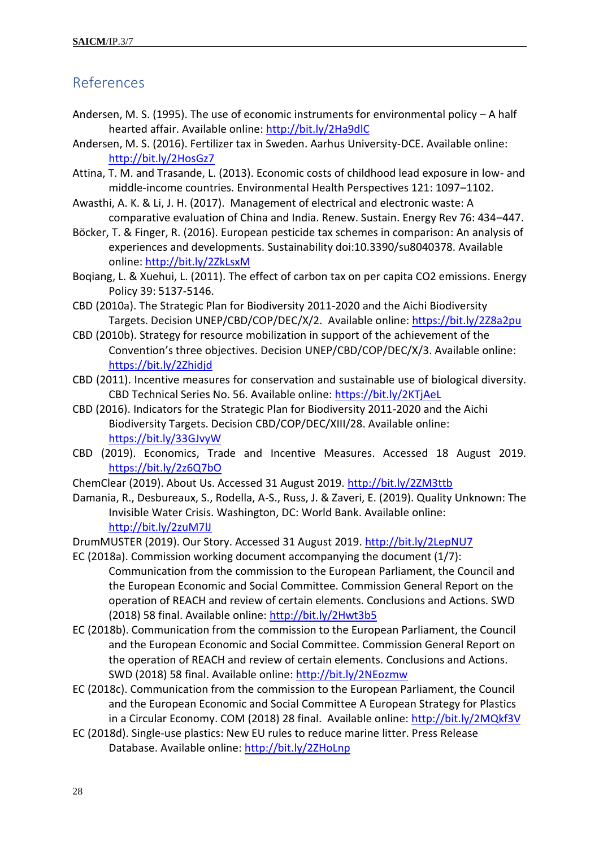### References

- Andersen, M. S. (1995). The use of economic instruments for environmental policy A half hearted affair. Available online:<http://bit.ly/2Ha9dlC>
- Andersen, M. S. (2016). Fertilizer tax in Sweden. Aarhus University-DCE. Available online: <http://bit.ly/2HosGz7>
- Attina, T. M. and Trasande, L. (2013). Economic costs of childhood lead exposure in low- and middle-income countries. Environmental Health Perspectives 121: 1097–1102.
- Awasthi, A. K. & Li, J. H. (2017). Management of electrical and electronic waste: A comparative evaluation of China and India. Renew. Sustain. Energy Rev 76: 434–447.
- Böcker, T. & Finger, R. (2016). European pesticide tax schemes in comparison: An analysis of experiences and developments. Sustainability doi:10.3390/su8040378. Available online:<http://bit.ly/2ZkLsxM>
- Boqiang, L. & Xuehui, L. (2011). [The effect of carbon tax on per capita CO2 emissions.](https://ideas.repec.org/a/eee/enepol/v39y2011i9p5137-5146.html) [Energy](https://ideas.repec.org/s/eee/enepol.html)  [Policy](https://ideas.repec.org/s/eee/enepol.html) 39: 5137-5146.
- CBD (2010a). The Strategic Plan for Biodiversity 2011-2020 and the Aichi Biodiversity Targets. Decision UNEP/CBD/COP/DEC/X/2. Available online: <https://bit.ly/2Z8a2pu>
- CBD (2010b). Strategy for resource mobilization in support of the achievement of the Convention's three objectives. Decision UNEP/CBD/COP/DEC/X/3. Available online: <https://bit.ly/2Zhidjd>
- CBD (2011). Incentive measures for conservation and sustainable use of biological diversity. CBD Technical Series No. 56. Available online:<https://bit.ly/2KTjAeL>
- CBD (2016). Indicators for the Strategic Plan for Biodiversity 2011-2020 and the Aichi Biodiversity Targets. Decision CBD/COP/DEC/XIII/28. Available online: <https://bit.ly/33GJvyW>
- CBD (2019). Economics, Trade and Incentive Measures. Accessed 18 August 2019. <https://bit.ly/2z6Q7bO>
- ChemClear (2019). About Us. Accessed 31 August 2019.<http://bit.ly/2ZM3ttb>
- Damania, R., Desbureaux, S., Rodella, A-S., Russ, J. & Zaveri, E. (2019). Quality Unknown: The Invisible Water Crisis. Washington, DC: World Bank. Available online: <http://bit.ly/2zuM7lJ>

DrumMUSTER (2019). Our Story. Accessed 31 August 2019. <http://bit.ly/2LepNU7>

- EC (2018a). Commission working document accompanying the document (1/7): Communication from the commission to the European Parliament, the Council and the European Economic and Social Committee. Commission General Report on the operation of REACH and review of certain elements. Conclusions and Actions. SWD (2018) 58 final. Available online:<http://bit.ly/2Hwt3b5>
- EC (2018b). Communication from the commission to the European Parliament, the Council and the European Economic and Social Committee. Commission General Report on the operation of REACH and review of certain elements. Conclusions and Actions. SWD (2018) 58 final. Available online:<http://bit.ly/2NEozmw>
- EC (2018c). Communication from the commission to the European Parliament, the Council and the European Economic and Social Committee A European Strategy for Plastics in a Circular Economy. COM (2018) 28 final. Available online:<http://bit.ly/2MQkf3V>
- EC (2018d). Single-use plastics: New EU rules to reduce marine litter. Press Release Database. Available online:<http://bit.ly/2ZHoLnp>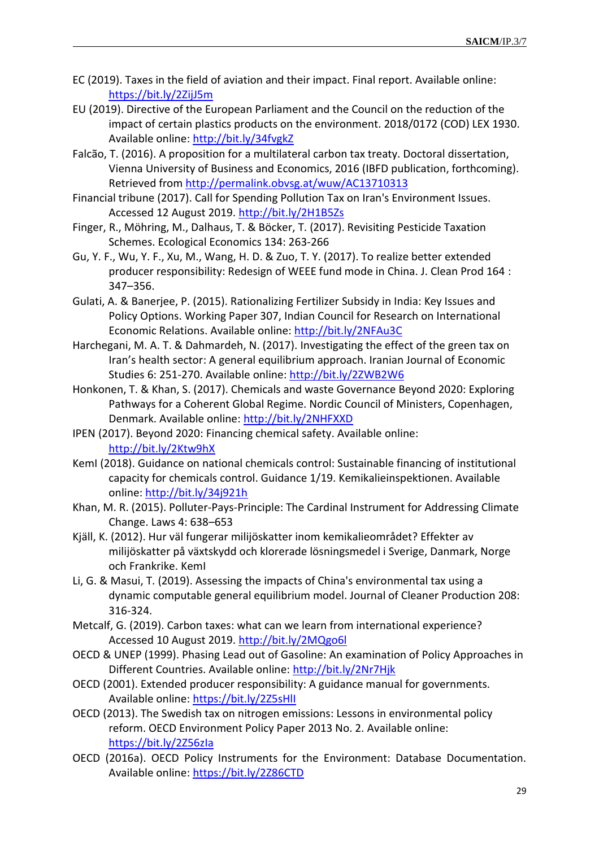- EC (2019). Taxes in the field of aviation and their impact. Final report. Available online: <https://bit.ly/2ZijJ5m>
- EU (2019). Directive of the European Parliament and the Council on the reduction of the impact of certain plastics products on the environment. 2018/0172 (COD) LEX 1930. Available online:<http://bit.ly/34fvgkZ>
- Falcão, T. (2016). A proposition for a multilateral carbon tax treaty. Doctoral dissertation, Vienna University of Business and Economics, 2016 (IBFD publication, forthcoming). Retrieved from<http://permalink.obvsg.at/wuw/AC13710313>
- Financial tribune (2017). Call for Spending Pollution Tax on Iran's Environment Issues. Accessed 12 August 2019.<http://bit.ly/2H1B5Zs>
- Finger, R., Möhring, M., Dalhaus, T. & Böcker, T. (2017). Revisiting Pesticide Taxation Schemes. Ecological Economics 134: 263-266
- Gu, Y. F., Wu, Y. F., Xu, M., Wang, H. D. & Zuo, T. Y. (2017). To realize better extended producer responsibility: Redesign of WEEE fund mode in China. J. Clean Prod 164 : 347–356.
- Gulati, A. & Banerjee, P. (2015). Rationalizing Fertilizer Subsidy in India: Key Issues and Policy Options. Working Paper 307, Indian Council for Research on International Economic Relations. Available online:<http://bit.ly/2NFAu3C>
- Harchegani, M. A. T. & Dahmardeh, N. (2017). Investigating the effect of the green tax on Iran's health sector: A general equilibrium approach. Iranian Journal of Economic Studies 6: 251-270. Available online:<http://bit.ly/2ZWB2W6>
- Honkonen, T. & Khan, S. (2017). Chemicals and waste Governance Beyond 2020: Exploring Pathways for a Coherent Global Regime. Nordic Council of Ministers, Copenhagen, Denmark. Available online:<http://bit.ly/2NHFXXD>
- IPEN (2017). Beyond 2020: Financing chemical safety. Available online: <http://bit.ly/2Ktw9hX>
- KemI (2018). Guidance on national chemicals control: Sustainable financing of institutional capacity for chemicals control. Guidance 1/19. Kemikalieinspektionen. Available online:<http://bit.ly/34j921h>
- Khan, M. R. (2015). Polluter-Pays-Principle: The Cardinal Instrument for Addressing Climate Change. Laws 4: 638–653
- Kjäll, K. (2012). Hur väl fungerar milijöskatter inom kemikalieområdet? Effekter av milijöskatter på växtskydd och klorerade lösningsmedel i Sverige, Danmark, Norge och Frankrike. KemI
- Li, G. & Masui, T. (2019). Assessing the impacts of China's environmental tax using a dynamic computable general equilibrium model. Journal of Cleaner Production 208: 316-324.
- Metcalf, G. (2019). Carbon taxes: what can we learn from international experience? Accessed 10 August 2019.<http://bit.ly/2MQgo6l>
- OECD & UNEP (1999). Phasing Lead out of Gasoline: An examination of Policy Approaches in Different Countries. Available online:<http://bit.ly/2Nr7Hjk>
- OECD (2001). Extended producer responsibility: A guidance manual for governments. Available online:<https://bit.ly/2Z5sHlI>
- OECD (2013). The Swedish tax on nitrogen emissions: Lessons in environmental policy reform. OECD Environment Policy Paper 2013 No. 2. Available online: <https://bit.ly/2Z56zIa>
- OECD (2016a). OECD Policy Instruments for the Environment: Database Documentation. Available online:<https://bit.ly/2Z86CTD>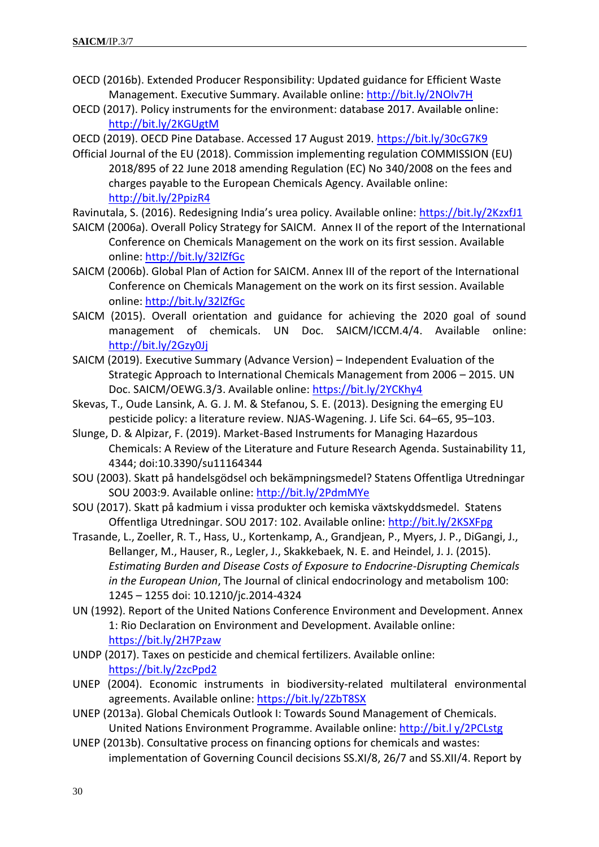- OECD (2016b). Extended Producer Responsibility: Updated guidance for Efficient Waste Management. Executive Summary. Available online:<http://bit.ly/2NOlv7H>
- OECD (2017). Policy instruments for the environment: database 2017. Available online: <http://bit.ly/2KGUgtM>

OECD (2019). OECD Pine Database. Accessed 17 August 2019.<https://bit.ly/30cG7K9>

- Official Journal of the EU (2018). Commission implementing regulation COMMISSION (EU) 2018/895 of 22 June 2018 amending Regulation (EC) No 340/2008 on the fees and charges payable to the European Chemicals Agency. Available online: <http://bit.ly/2PpizR4>
- Ravinutala, S. (2016). Redesigning India's urea policy. Available online: <https://bit.ly/2KzxfJ1>
- SAICM (2006a). Overall Policy Strategy for SAICM. Annex II of the report of the International Conference on Chemicals Management on the work on its first session. Available online:<http://bit.ly/32lZfGc>
- SAICM (2006b). Global Plan of Action for SAICM. Annex III of the report of the International Conference on Chemicals Management on the work on its first session. Available online:<http://bit.ly/32lZfGc>
- SAICM (2015). Overall orientation and guidance for achieving the 2020 goal of sound management of chemicals. UN Doc. SAICM/ICCM.4/4. Available online: [http://bit.ly/2Gzy0Jj](http://bit.ly/2GZy0Jj)
- SAICM (2019). Executive Summary (Advance Version) Independent Evaluation of the Strategic Approach to International Chemicals Management from 2006 – 2015. UN Doc. SAICM/OEWG.3/3. Available online:<https://bit.ly/2YCKhy4>
- Skevas, T., Oude Lansink, A. G. J. M. & Stefanou, S. E. (2013). Designing the emerging EU pesticide policy: a literature review. NJAS-Wagening. J. Life Sci. 64–65, 95–103.
- Slunge, D. & Alpizar, F. (2019). Market-Based Instruments for Managing Hazardous Chemicals: A Review of the Literature and Future Research Agenda. Sustainability 11, 4344; doi:10.3390/su11164344
- SOU (2003). Skatt på handelsgödsel och bekämpningsmedel? Statens Offentliga Utredningar SOU 2003:9. Available online[: http://bit.ly/2PdmMYe](http://bit.ly/2PdmMYe)
- SOU (2017). Skatt på kadmium i vissa produkter och kemiska växtskyddsmedel. Statens Offentliga Utredningar. SOU 2017: 102. Available online:<http://bit.ly/2KSXFpg>
- Trasande, L., Zoeller, R. T., Hass, U., Kortenkamp, A., Grandjean, P., Myers, J. P., DiGangi, J., Bellanger, M., Hauser, R., Legler, J., Skakkebaek, N. E. and Heindel, J. J. (2015). *Estimating Burden and Disease Costs of Exposure to Endocrine-Disrupting Chemicals in the European Union*, The Journal of clinical endocrinology and metabolism 100: 1245 – 1255 doi: 10.1210/jc.2014-4324
- UN (1992). Report of the United Nations Conference Environment and Development. Annex 1: Rio Declaration on Environment and Development. Available online: <https://bit.ly/2H7Pzaw>
- UNDP (2017). Taxes on pesticide and chemical fertilizers. Available online: <https://bit.ly/2zcPpd2>
- UNEP (2004). Economic instruments in biodiversity-related multilateral environmental agreements. Available online:<https://bit.ly/2ZbT8SX>
- UNEP (2013a). Global Chemicals Outlook I: Towards Sound Management of Chemicals. United Nations Environment Programme. Available online: http://bit.l y/2PCLstg
- UNEP (2013b). Consultative process on financing options for chemicals and wastes: implementation of Governing Council decisions SS.XI/8, 26/7 and SS.XII/4. Report by